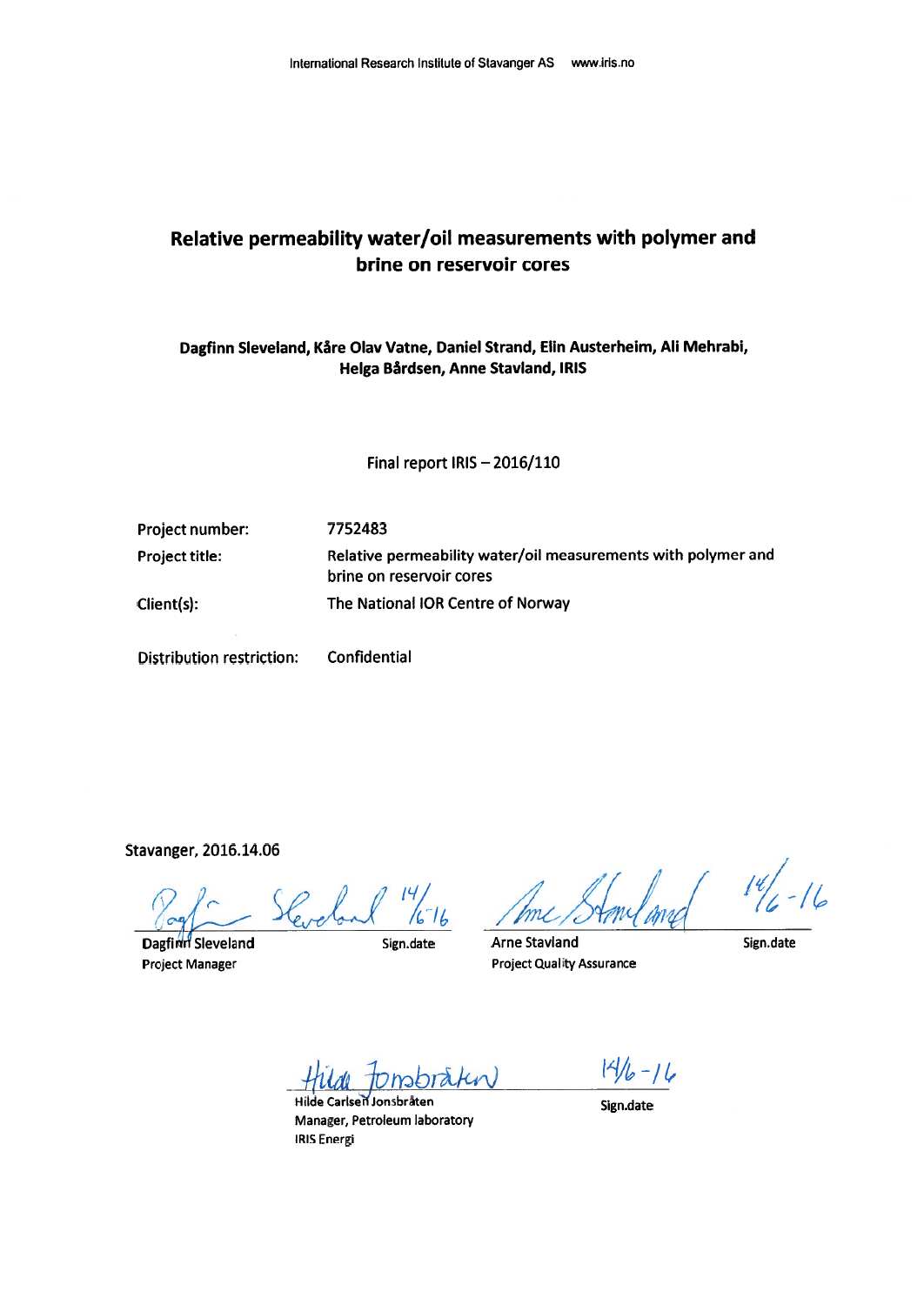### Relative permeability water/oil measurements with polymer and brine on reservoir cores

Dagfinn Sleveland, Kåre Olav Vatne, Daniel Strand, Elin Austerheim, Ali Mehrabi, Helga Bårdsen, Anne Stavland, IRIS

Final report IRIS - 2016/110

Project number:

**Project title:** 

Client(s):

7752483 Relative permeability water/oil measurements with polymer and brine on reservoir cores The National IOR Centre of Norway

**Distribution restriction:** 

Stavanger, 2016.14.06

 $\frac{14}{6}$ 

Dagfinn Sleveland **Project Manager** 

Sign.date

Confidential

 $\overline{16}$ 

**Arne Stavland Project Quality Assurance** 

Sign.date

Hilde Carlsen Jonsbräten Manager, Petroleum laboratory **IRIS Energi** 

 $14/6 - 16$ 

Sign.date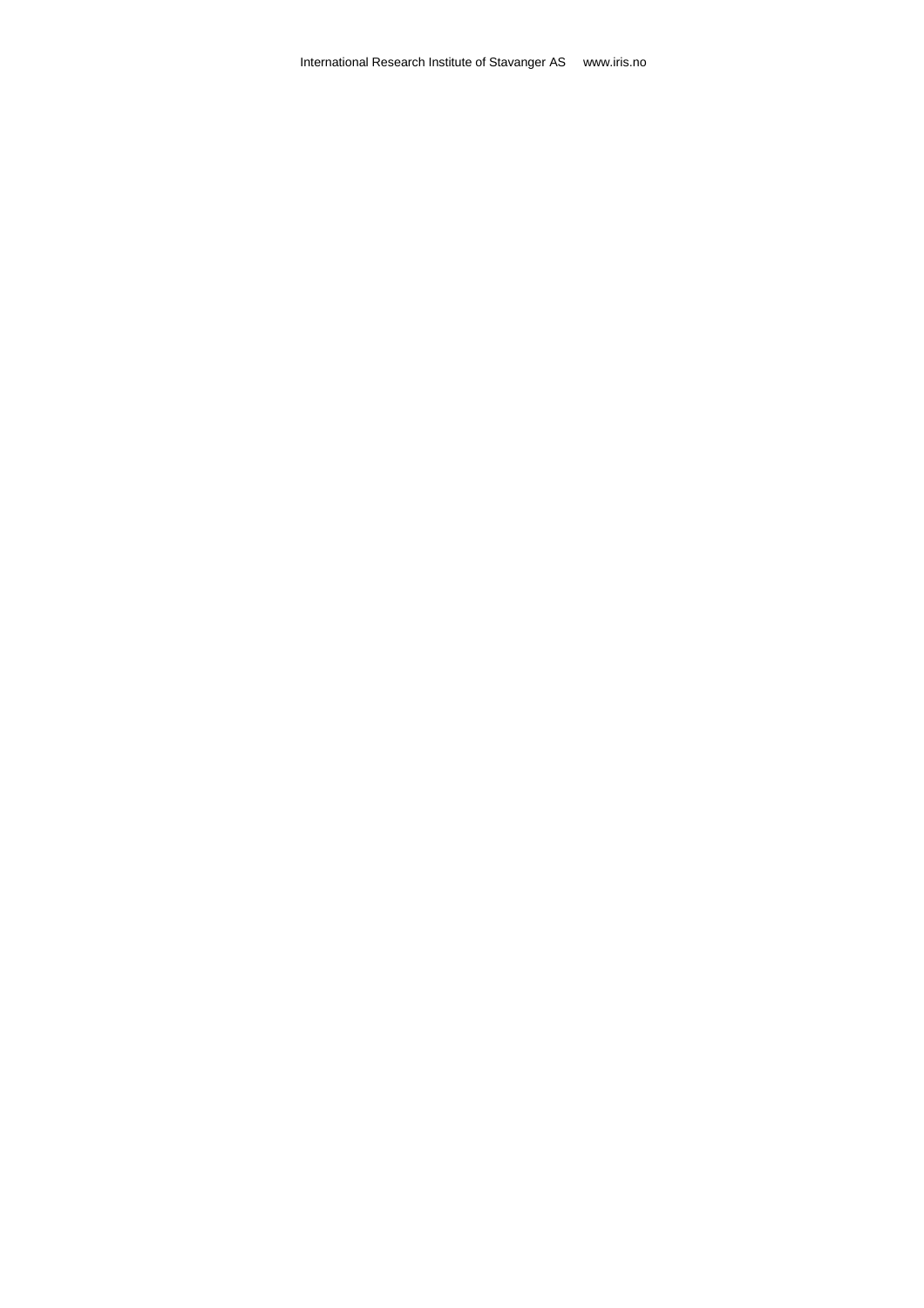International Research Institute of Stavanger AS www.iris.no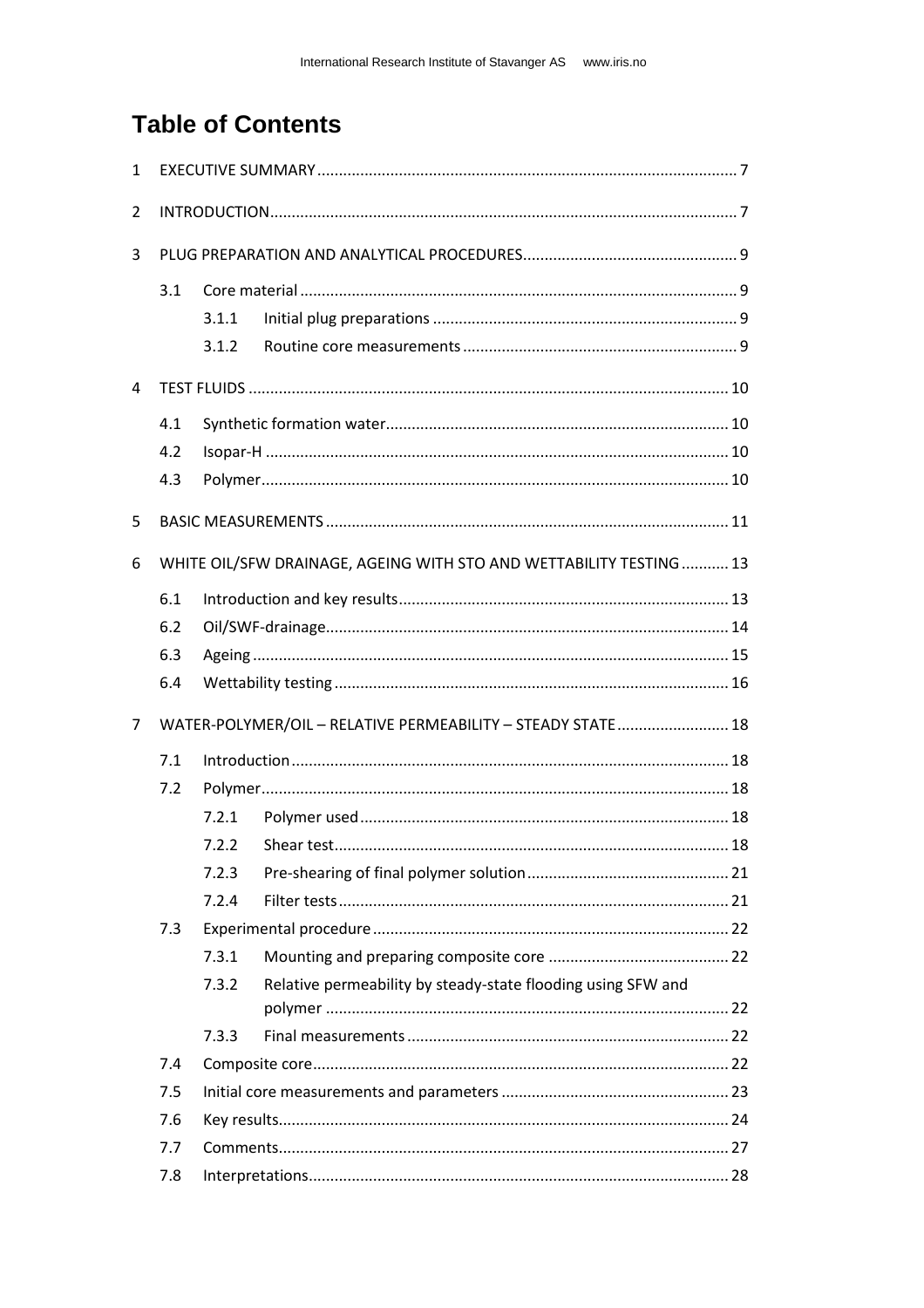# **Table of Contents**

| $\mathbf{1}$   |     |       |                                                                     |  |
|----------------|-----|-------|---------------------------------------------------------------------|--|
| 2              |     |       |                                                                     |  |
| 3              |     |       |                                                                     |  |
|                | 3.1 |       |                                                                     |  |
|                |     | 3.1.1 |                                                                     |  |
|                |     | 3.1.2 |                                                                     |  |
| 4              |     |       |                                                                     |  |
|                | 4.1 |       |                                                                     |  |
|                | 4.2 |       |                                                                     |  |
|                | 4.3 |       |                                                                     |  |
| 5              |     |       |                                                                     |  |
| 6              |     |       | WHITE OIL/SFW DRAINAGE, AGEING WITH STO AND WETTABILITY TESTING  13 |  |
|                | 6.1 |       |                                                                     |  |
|                | 6.2 |       |                                                                     |  |
|                | 6.3 |       |                                                                     |  |
|                | 6.4 |       |                                                                     |  |
| $\overline{7}$ |     |       | WATER-POLYMER/OIL - RELATIVE PERMEABILITY - STEADY STATE 18         |  |
|                | 7.1 |       |                                                                     |  |
|                | 7.2 |       |                                                                     |  |
|                |     | 7.2.1 |                                                                     |  |
|                |     | 7.2.2 |                                                                     |  |
|                |     | 7.2.3 |                                                                     |  |
|                |     | 7.2.4 |                                                                     |  |
|                | 7.3 |       |                                                                     |  |
|                |     | 7.3.1 |                                                                     |  |
|                |     | 7.3.2 | Relative permeability by steady-state flooding using SFW and        |  |
|                |     | 7.3.3 |                                                                     |  |
|                | 7.4 |       |                                                                     |  |
|                | 7.5 |       |                                                                     |  |
|                | 7.6 |       |                                                                     |  |
|                | 7.7 |       |                                                                     |  |
|                | 7.8 |       |                                                                     |  |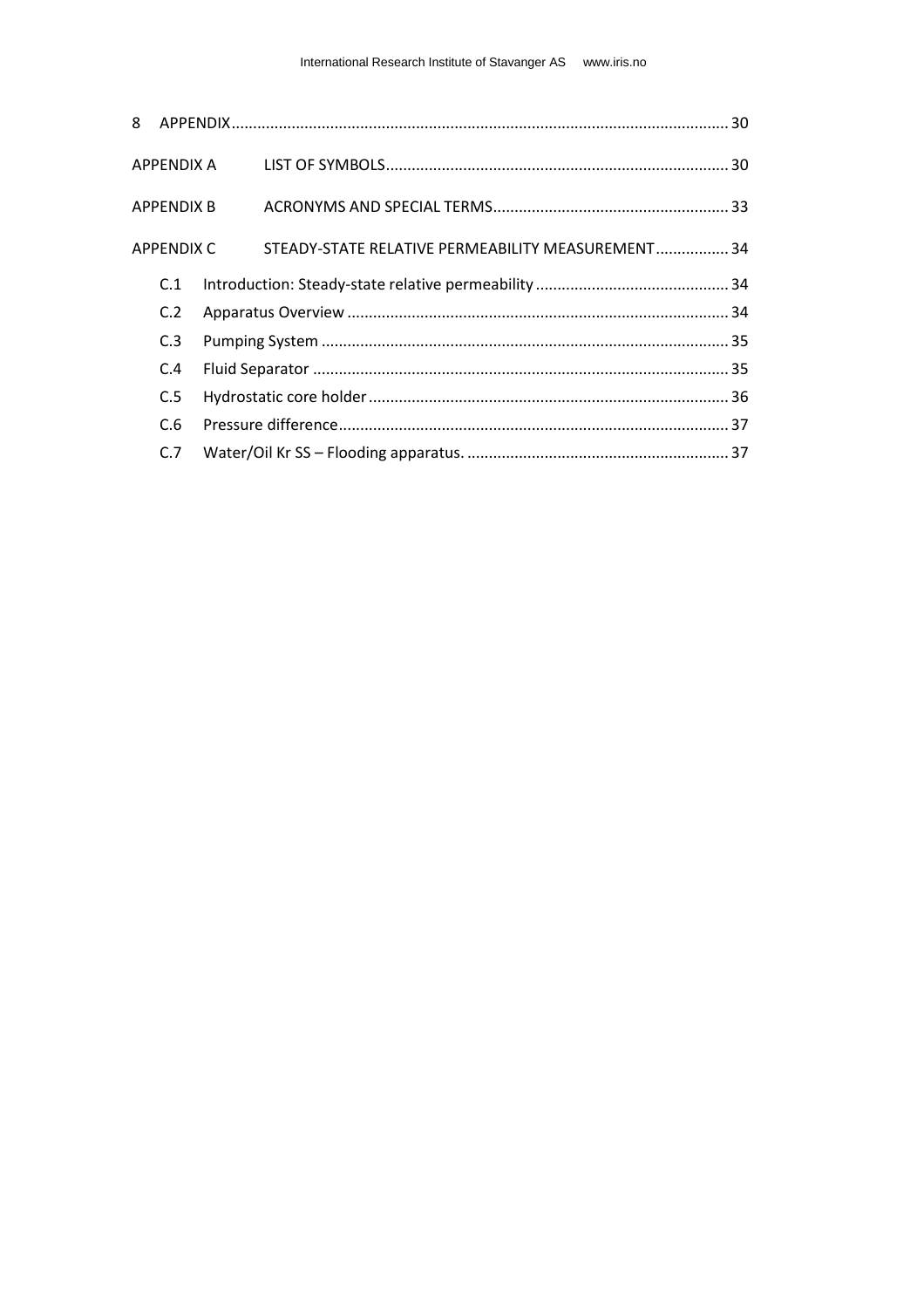| 8 |                   |            |                                                   |  |
|---|-------------------|------------|---------------------------------------------------|--|
|   |                   | APPENDIX A |                                                   |  |
|   | <b>APPENDIX B</b> |            |                                                   |  |
|   | APPENDIX C        |            | STEADY-STATE RELATIVE PERMEABILITY MEASUREMENT 34 |  |
|   | C.1               |            |                                                   |  |
|   | C.2               |            |                                                   |  |
|   | C.3               |            |                                                   |  |
|   | C.4               |            |                                                   |  |
|   | C.5               |            |                                                   |  |
|   | C.6               |            |                                                   |  |
|   | C.7               |            |                                                   |  |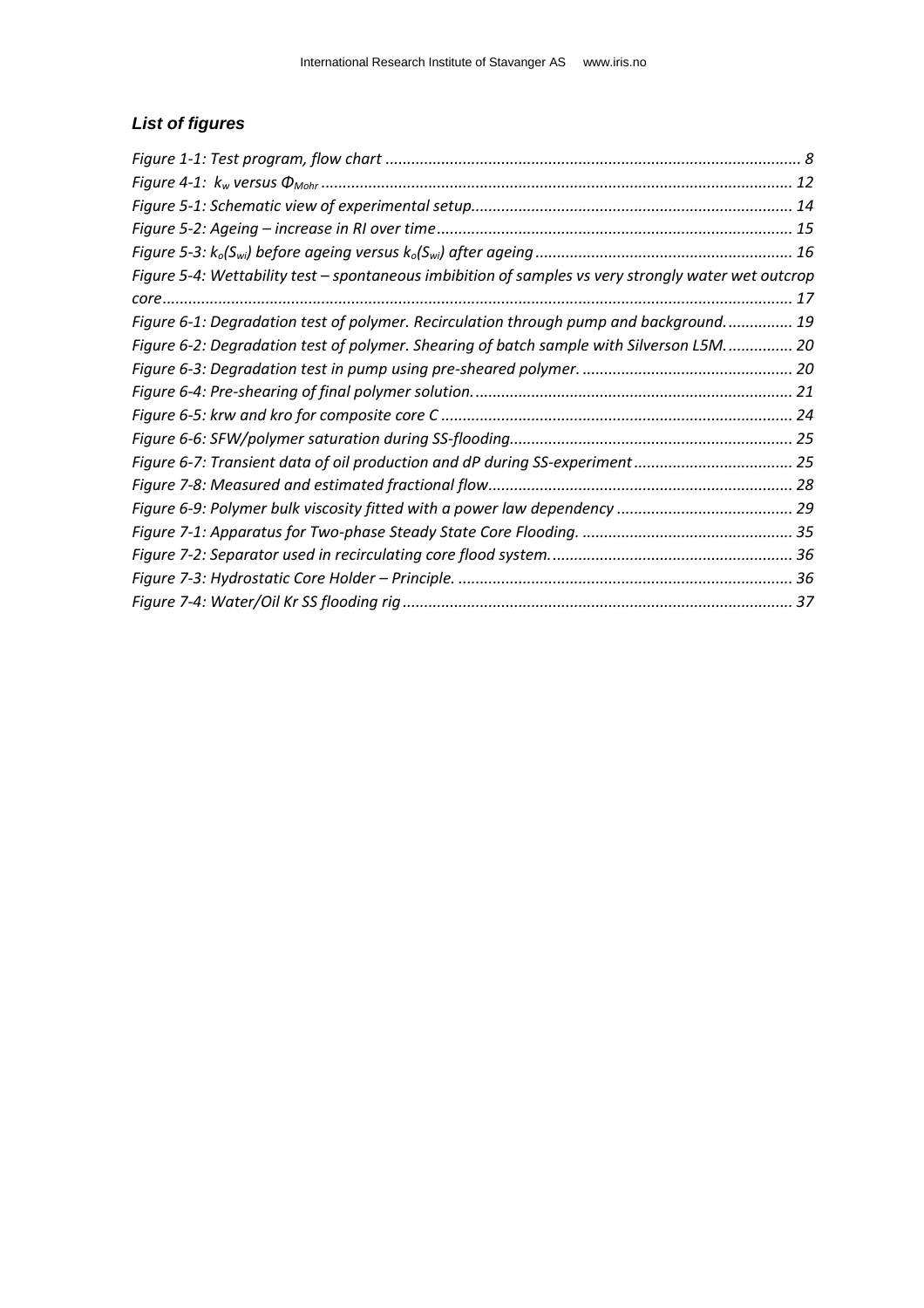### *List of figures*

| Figure 5-4: Wettability test - spontaneous imbibition of samples vs very strongly water wet outcrop |  |
|-----------------------------------------------------------------------------------------------------|--|
|                                                                                                     |  |
| Figure 6-1: Degradation test of polymer. Recirculation through pump and background 19               |  |
| Figure 6-2: Degradation test of polymer. Shearing of batch sample with Silverson L5M 20             |  |
|                                                                                                     |  |
|                                                                                                     |  |
|                                                                                                     |  |
|                                                                                                     |  |
| Figure 6-7: Transient data of oil production and dP during SS-experiment 25                         |  |
|                                                                                                     |  |
|                                                                                                     |  |
|                                                                                                     |  |
|                                                                                                     |  |
|                                                                                                     |  |
|                                                                                                     |  |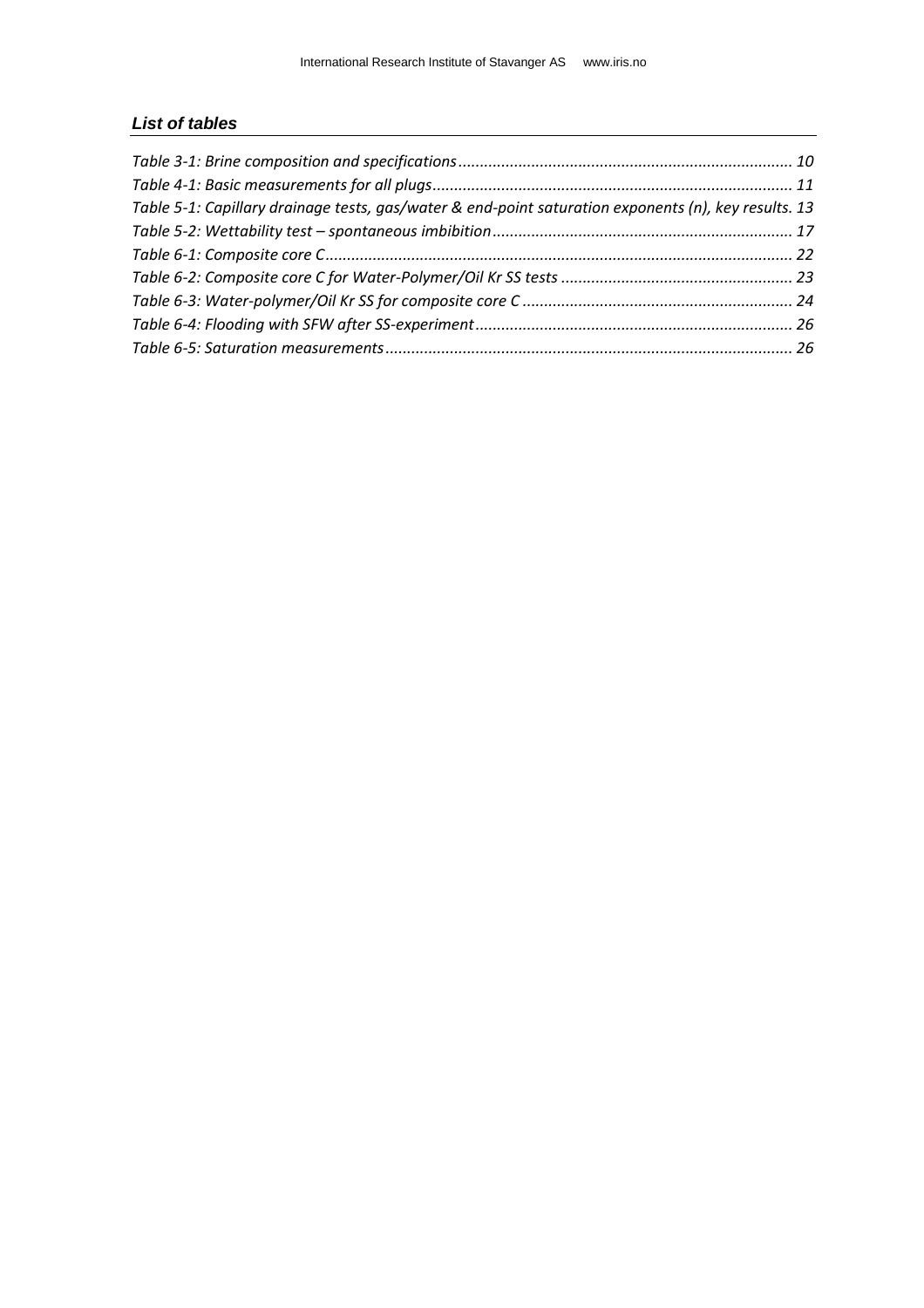#### *List of tables*

| Table 5-1: Capillary drainage tests, gas/water & end-point saturation exponents (n), key results. 13 |  |
|------------------------------------------------------------------------------------------------------|--|
|                                                                                                      |  |
|                                                                                                      |  |
|                                                                                                      |  |
|                                                                                                      |  |
|                                                                                                      |  |
|                                                                                                      |  |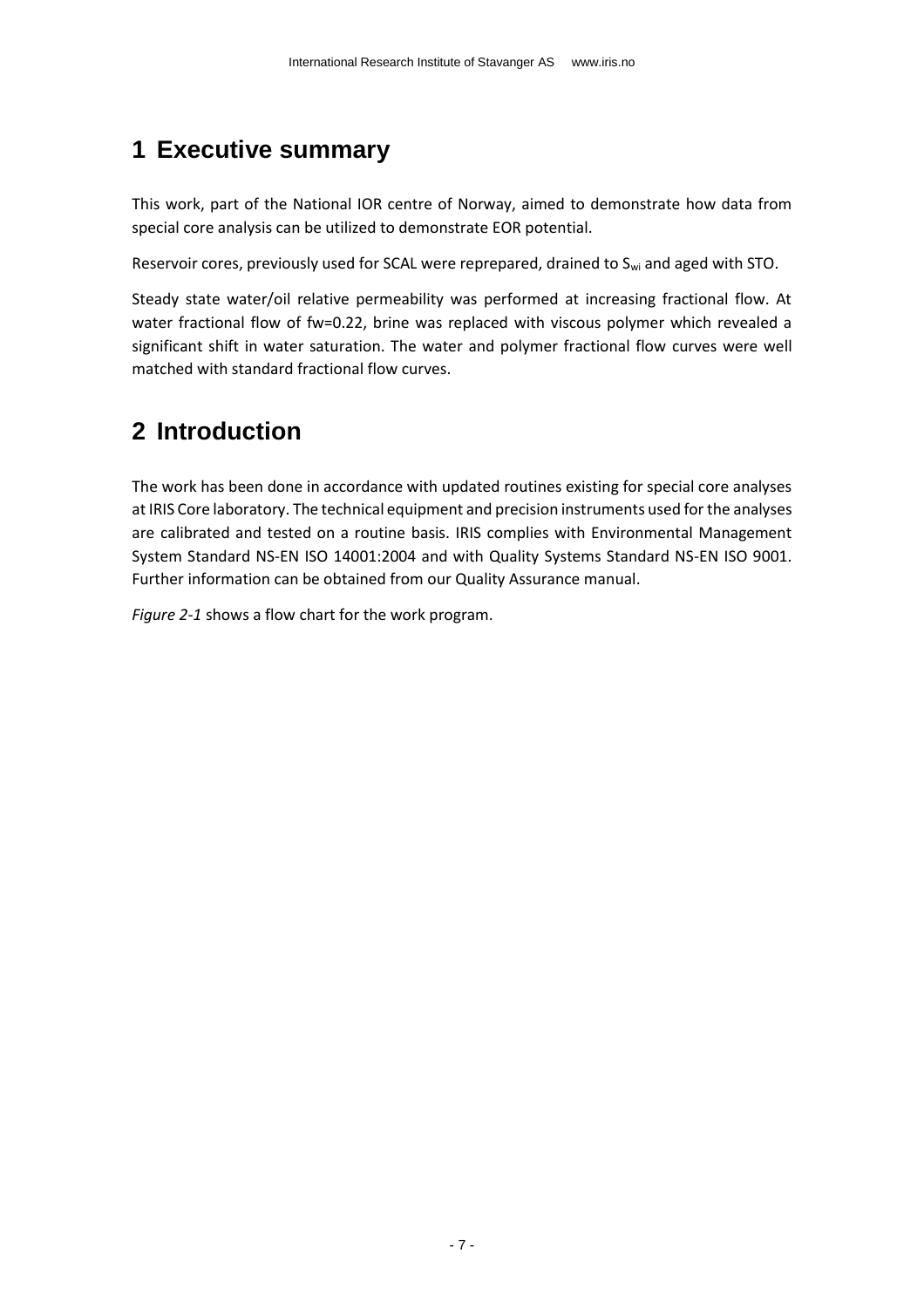# <span id="page-6-0"></span>**1 Executive summary**

This work, part of the National IOR centre of Norway, aimed to demonstrate how data from special core analysis can be utilized to demonstrate EOR potential.

Reservoir cores, previously used for SCAL were reprepared, drained to S<sub>wi</sub> and aged with STO.

Steady state water/oil relative permeability was performed at increasing fractional flow. At water fractional flow of fw=0.22, brine was replaced with viscous polymer which revealed a significant shift in water saturation. The water and polymer fractional flow curves were well matched with standard fractional flow curves.

# <span id="page-6-1"></span>**2 Introduction**

The work has been done in accordance with updated routines existing for special core analyses at IRIS Core laboratory. The technical equipment and precision instruments used for the analyses are calibrated and tested on a routine basis. IRIS complies with Environmental Management System Standard NS-EN ISO 14001:2004 and with Quality Systems Standard NS-EN ISO 9001. Further information can be obtained from our Quality Assurance manual.

*[Figure 2-1](#page-7-0)* shows a flow chart for the work program.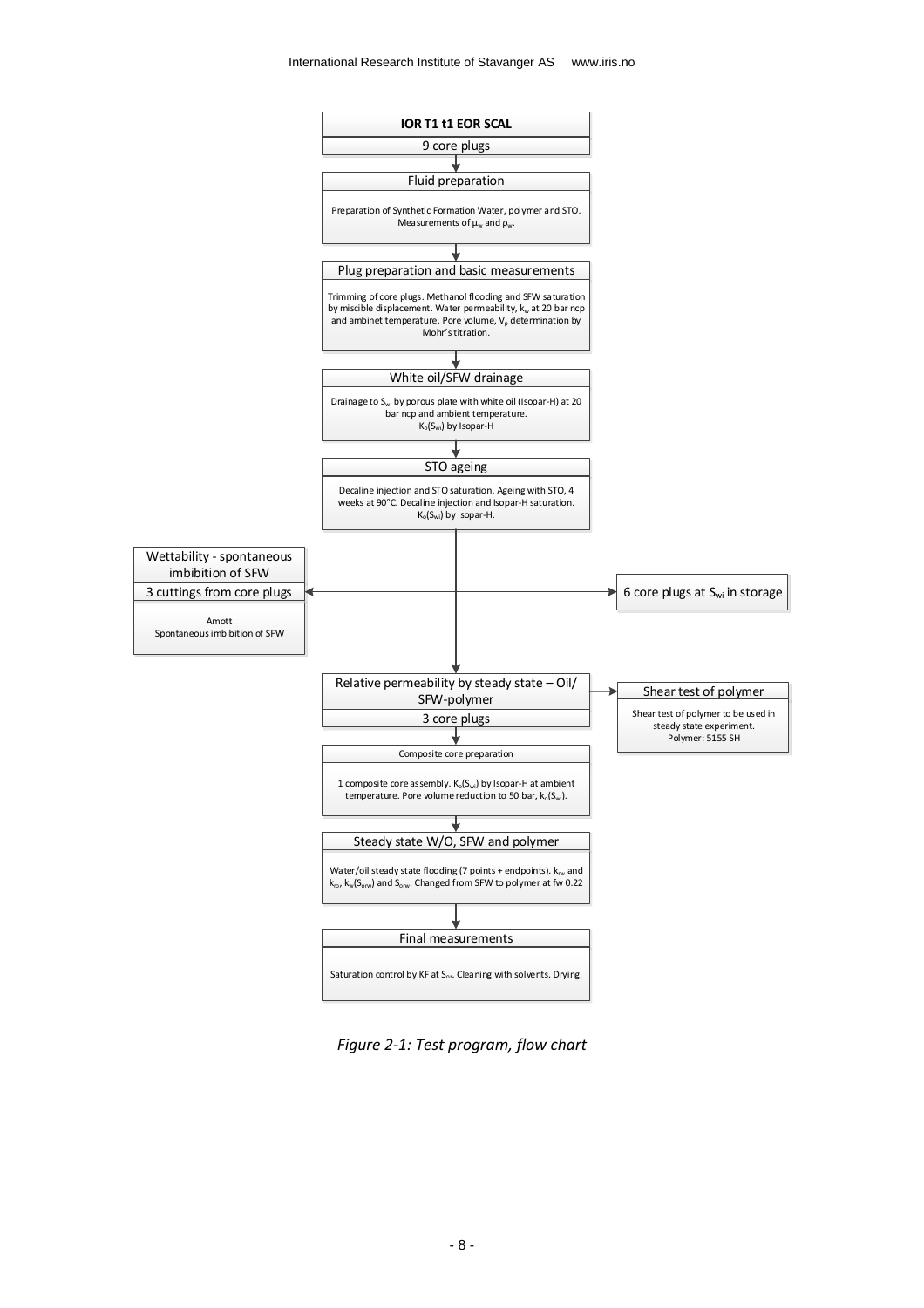

<span id="page-7-0"></span>*Figure 2-1: Test program, flow chart*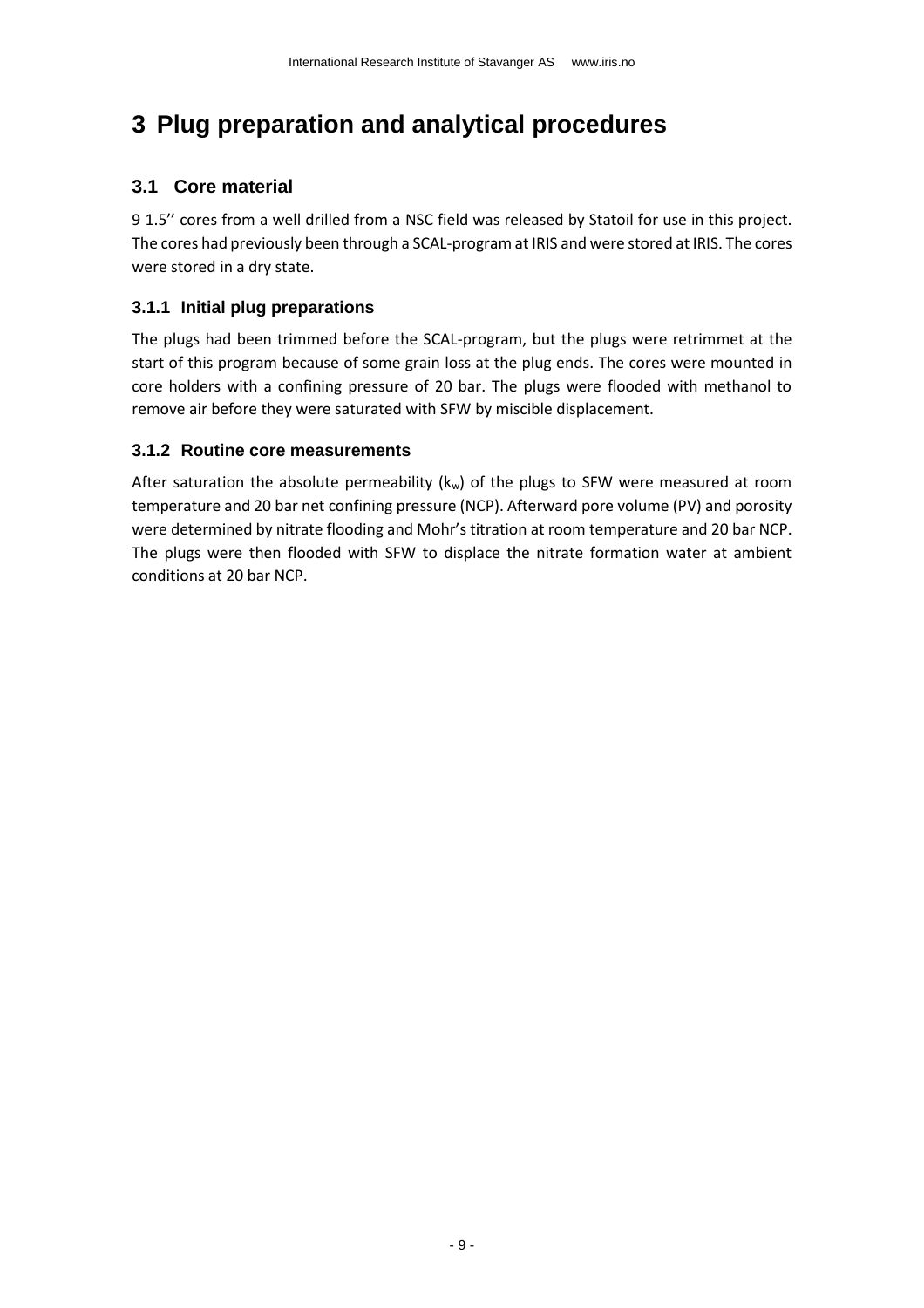# <span id="page-8-0"></span>**3 Plug preparation and analytical procedures**

### <span id="page-8-1"></span>**3.1 Core material**

9 1.5'' cores from a well drilled from a NSC field was released by Statoil for use in this project. The cores had previously been through a SCAL-program at IRIS and were stored at IRIS. The cores were stored in a dry state.

#### <span id="page-8-2"></span>**3.1.1 Initial plug preparations**

The plugs had been trimmed before the SCAL-program, but the plugs were retrimmet at the start of this program because of some grain loss at the plug ends. The cores were mounted in core holders with a confining pressure of 20 bar. The plugs were flooded with methanol to remove air before they were saturated with SFW by miscible displacement.

#### <span id="page-8-3"></span>**3.1.2 Routine core measurements**

After saturation the absolute permeability ( $k_w$ ) of the plugs to SFW were measured at room temperature and 20 bar net confining pressure (NCP). Afterward pore volume (PV) and porosity were determined by nitrate flooding and Mohr's titration at room temperature and 20 bar NCP. The plugs were then flooded with SFW to displace the nitrate formation water at ambient conditions at 20 bar NCP.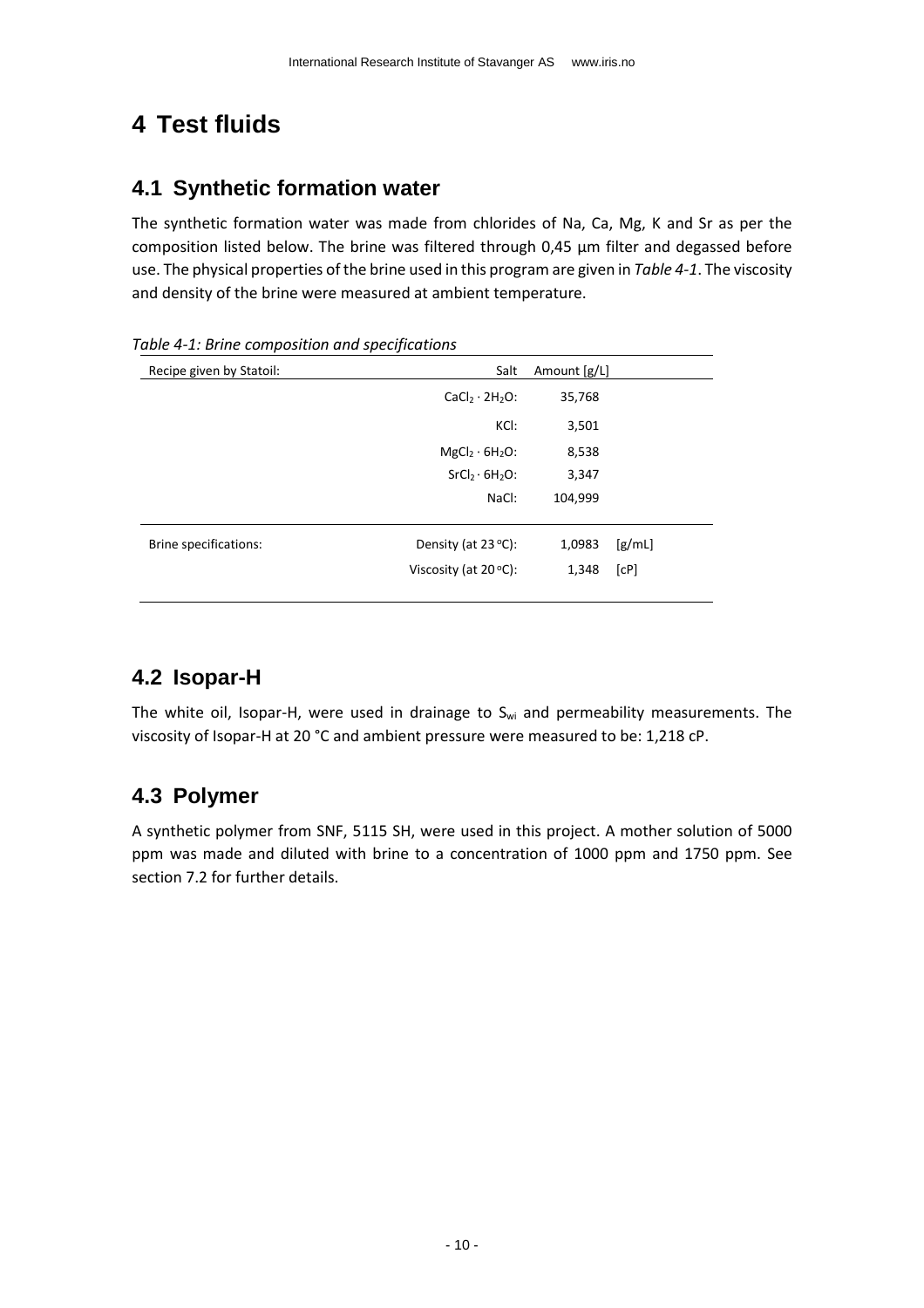# <span id="page-9-0"></span>**4 Test fluids**

### <span id="page-9-1"></span>**4.1 Synthetic formation water**

The synthetic formation water was made from chlorides of Na, Ca, Mg, K and Sr as per the composition listed below. The brine was filtered through 0,45 µm filter and degassed before use. The physical properties of the brine used in this program are given in *[Table 4-1](#page-9-4)*. The viscosity and density of the brine were measured at ambient temperature.

| Recipe given by Statoil: | Salt                                   | Amount [g/L] |        |
|--------------------------|----------------------------------------|--------------|--------|
|                          | $CaCl2 \cdot 2H2O$ :                   | 35,768       |        |
|                          | KCI:                                   | 3,501        |        |
|                          | MgCl <sub>2</sub> · 6H <sub>2</sub> O: | 8,538        |        |
|                          | $SrCl2·6H2O$ :                         | 3,347        |        |
|                          | NaCl:                                  | 104,999      |        |
|                          |                                        |              |        |
| Brine specifications:    | Density (at $23^{\circ}$ C):           | 1,0983       | [g/mL] |
|                          | Viscosity (at $20^{\circ}$ C):         | 1,348        | [CP]   |
|                          |                                        |              |        |

<span id="page-9-4"></span>*Table 4-1: Brine composition and specifications*

### <span id="page-9-2"></span>**4.2 Isopar-H**

The white oil, Isopar-H, were used in drainage to  $S_{wi}$  and permeability measurements. The viscosity of Isopar-H at 20 °C and ambient pressure were measured to be: 1,218 cP.

### <span id="page-9-3"></span>**4.3 Polymer**

A synthetic polymer from SNF, 5115 SH, were used in this project. A mother solution of 5000 ppm was made and diluted with brine to a concentration of 1000 ppm and 1750 ppm. See sectio[n 7.2](#page-17-2) for further details.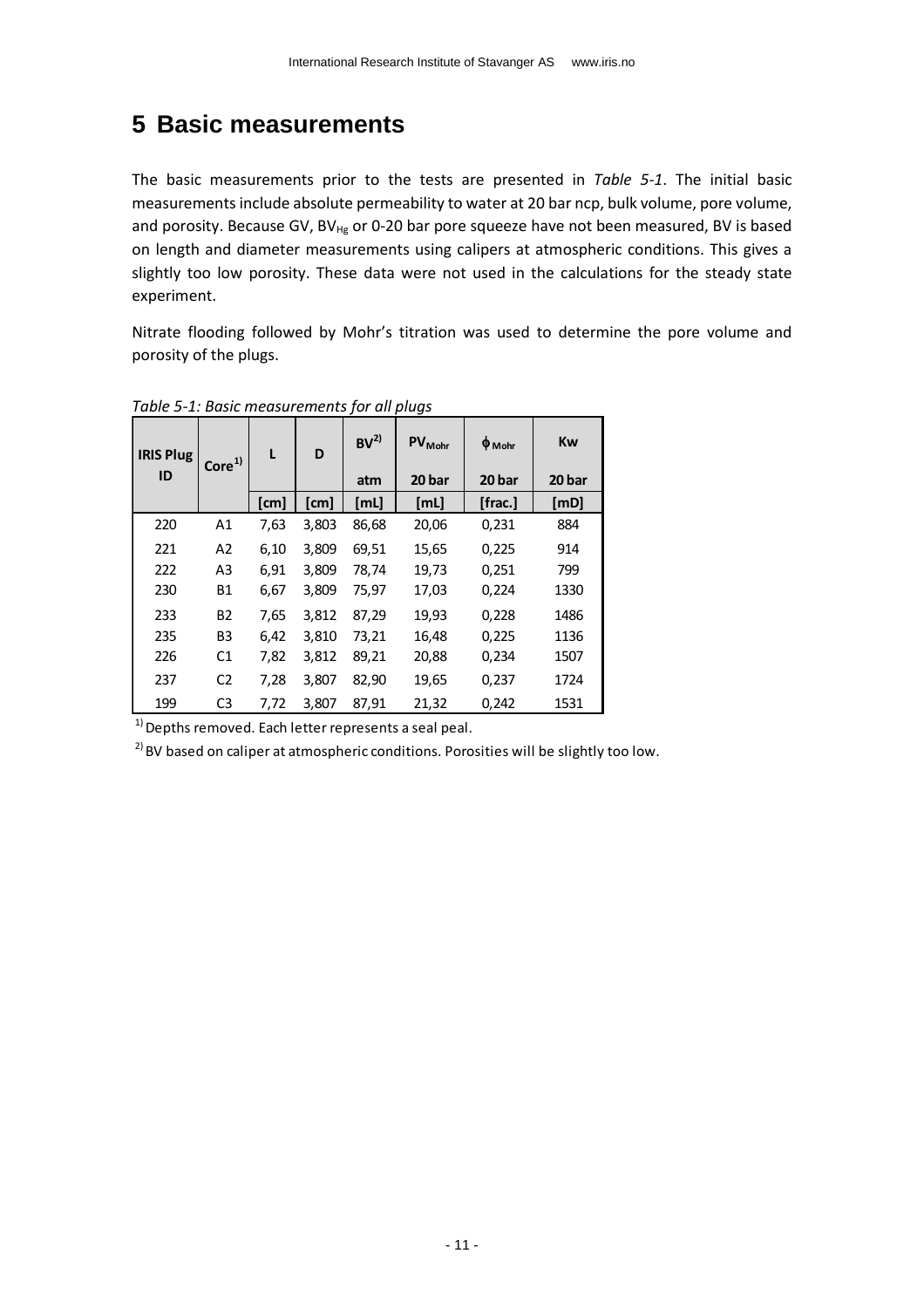## <span id="page-10-0"></span>**5 Basic measurements**

The basic measurements prior to the tests are presented in *[Table 5-1](#page-10-1)*. The initial basic measurements include absolute permeability to water at 20 bar ncp, bulk volume, pore volume, and porosity. Because GV, BV $_{Hg}$  or 0-20 bar pore squeeze have not been measured, BV is based on length and diameter measurements using calipers at atmospheric conditions. This gives a slightly too low porosity. These data were not used in the calculations for the steady state experiment.

Nitrate flooding followed by Mohr's titration was used to determine the pore volume and porosity of the plugs.

| <b>IRIS Plug</b><br>ID | Core <sup>1</sup> | L    | D     | BV <sup>2</sup><br>atm | <b>PV</b> <sub>Mohr</sub><br>20 bar | $\phi_{\text{Mohr}}$<br>20 bar | Kw<br>20 bar |
|------------------------|-------------------|------|-------|------------------------|-------------------------------------|--------------------------------|--------------|
|                        |                   | [cm] | [cm]  | [mL]                   | [mL]                                | [frac.]                        | [MD]         |
| 220                    | A1                | 7,63 | 3,803 | 86,68                  | 20,06                               | 0,231                          | 884          |
| 221                    | A <sub>2</sub>    | 6,10 | 3,809 | 69,51                  | 15,65                               | 0,225                          | 914          |
| 222                    | A <sub>3</sub>    | 6,91 | 3,809 | 78,74                  | 19,73                               | 0,251                          | 799          |
| 230                    | Β1                | 6,67 | 3,809 | 75,97                  | 17,03                               | 0,224                          | 1330         |
| 233                    | <b>B2</b>         | 7,65 | 3,812 | 87,29                  | 19,93                               | 0,228                          | 1486         |
| 235                    | B <sub>3</sub>    | 6,42 | 3,810 | 73,21                  | 16,48                               | 0,225                          | 1136         |
| 226                    | C <sub>1</sub>    | 7,82 | 3,812 | 89,21                  | 20,88                               | 0,234                          | 1507         |
| 237                    | C <sub>2</sub>    | 7,28 | 3,807 | 82,90                  | 19,65                               | 0,237                          | 1724         |
| 199<br>$\sim$          | C <sub>3</sub>    | 7,72 | 3,807 | 87,91                  | 21,32                               | 0,242                          | 1531         |

<span id="page-10-1"></span>*Table 5-1: Basic measurements for all plugs*

 $1)$  Depths removed. Each letter represents a seal peal.

 $2)$  BV based on caliper at atmospheric conditions. Porosities will be slightly too low.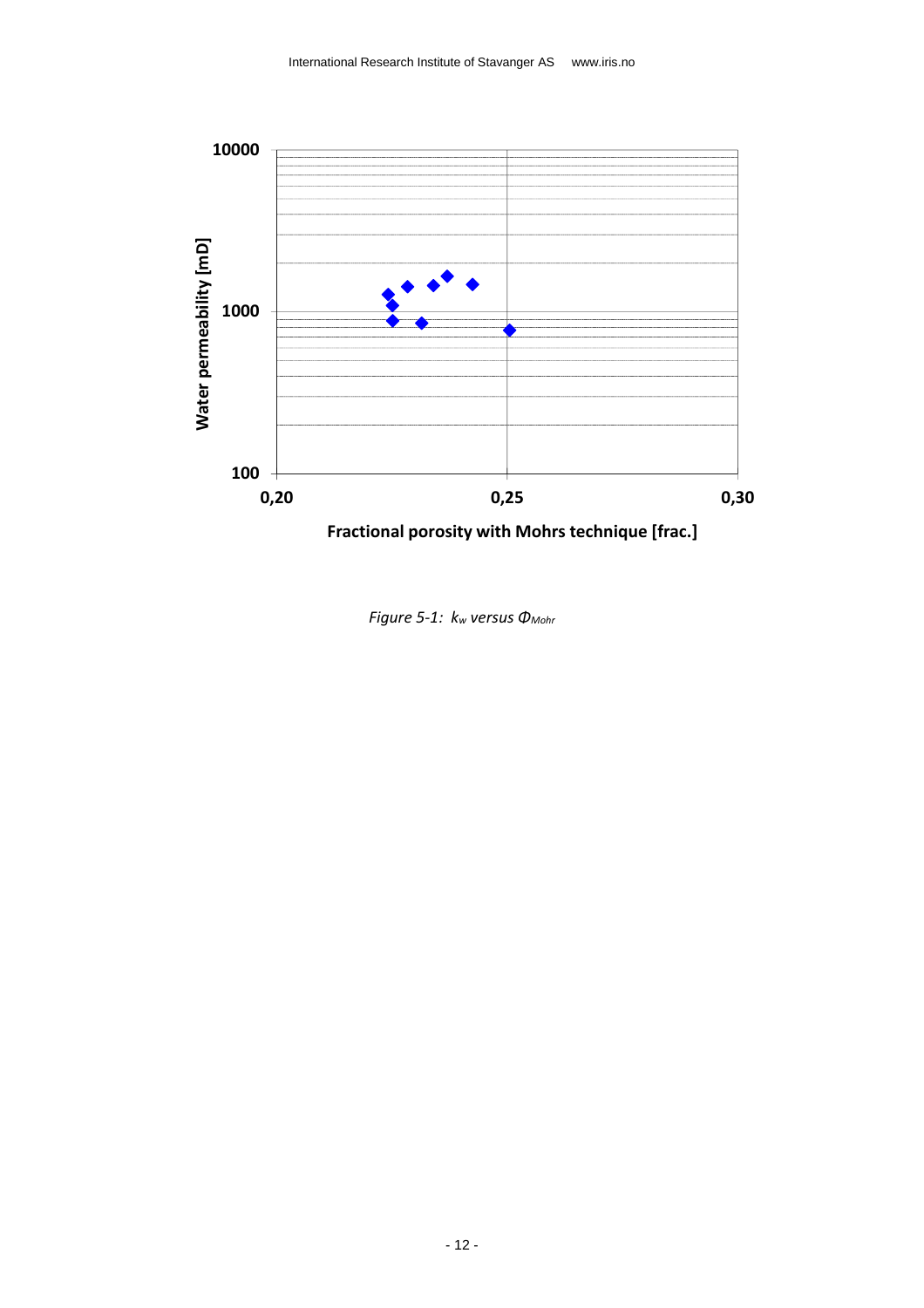

<span id="page-11-0"></span>**Fractional porosity with Mohrs technique [frac.]**

*Figure 5-1: k<sup>w</sup> versus ΦMohr*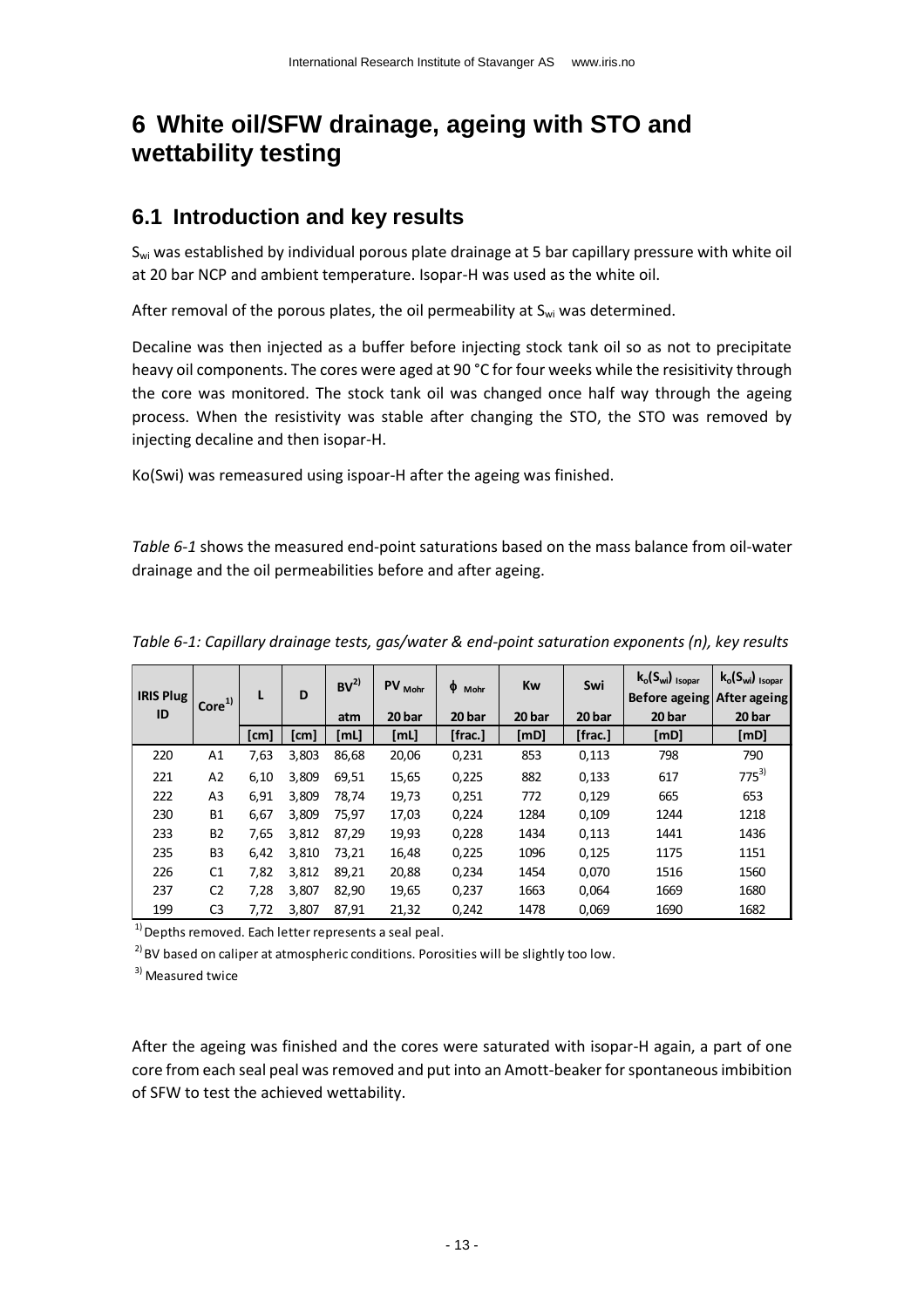# <span id="page-12-0"></span>**6 White oil/SFW drainage, ageing with STO and wettability testing**

### <span id="page-12-1"></span>**6.1 Introduction and key results**

S<sub>wi</sub> was established by individual porous plate drainage at 5 bar capillary pressure with white oil at 20 bar NCP and ambient temperature. Isopar-H was used as the white oil.

After removal of the porous plates, the oil permeability at  $S_{wi}$  was determined.

Decaline was then injected as a buffer before injecting stock tank oil so as not to precipitate heavy oil components. The cores were aged at 90 °C for four weeks while the resisitivity through the core was monitored. The stock tank oil was changed once half way through the ageing process. When the resistivity was stable after changing the STO, the STO was removed by injecting decaline and then isopar-H.

Ko(Swi) was remeasured using ispoar-H after the ageing was finished.

*[Table 6-1](#page-12-2)* shows the measured end-point saturations based on the mass balance from oil-water drainage and the oil permeabilities before and after ageing.

| <b>IRIS Plug</b> | Core <sup>1</sup> | L    | D     | BV <sup>2</sup> | PV Mohr | φ<br>Mohr | Kw     | Swi     | $k_o(S_{wi})_{Isopar}$<br>Before ageing After ageing | $k_o(S_{wi})_{Isopar}$ |
|------------------|-------------------|------|-------|-----------------|---------|-----------|--------|---------|------------------------------------------------------|------------------------|
| ID               |                   |      |       | atm             | 20 bar  | 20 bar    | 20 bar | 20 bar  | 20 bar                                               | 20 bar                 |
|                  |                   | [cm] | [cm]  | [mL]            | [ML]    | [frac.]   | [mD]   | [frac.] | [mD]                                                 | [mD]                   |
| 220              | A1                | 7,63 | 3,803 | 86,68           | 20,06   | 0,231     | 853    | 0,113   | 798                                                  | 790                    |
| 221              | A <sub>2</sub>    | 6,10 | 3.809 | 69,51           | 15,65   | 0,225     | 882    | 0,133   | 617                                                  | $775^{3}$              |
| 222              | A <sub>3</sub>    | 6,91 | 3.809 | 78,74           | 19,73   | 0,251     | 772    | 0,129   | 665                                                  | 653                    |
| 230              | <b>B1</b>         | 6,67 | 3.809 | 75,97           | 17,03   | 0,224     | 1284   | 0,109   | 1244                                                 | 1218                   |
| 233              | <b>B2</b>         | 7,65 | 3.812 | 87.29           | 19,93   | 0,228     | 1434   | 0,113   | 1441                                                 | 1436                   |
| 235              | B <sub>3</sub>    | 6,42 | 3,810 | 73,21           | 16,48   | 0,225     | 1096   | 0,125   | 1175                                                 | 1151                   |
| 226              | C1                | 7,82 | 3,812 | 89,21           | 20,88   | 0,234     | 1454   | 0,070   | 1516                                                 | 1560                   |
| 237              | C <sub>2</sub>    | 7,28 | 3,807 | 82,90           | 19,65   | 0,237     | 1663   | 0,064   | 1669                                                 | 1680                   |
| 199              | C <sub>3</sub>    | 7,72 | 3,807 | 87,91           | 21,32   | 0,242     | 1478   | 0,069   | 1690                                                 | 1682                   |

<span id="page-12-2"></span>*Table 6-1: Capillary drainage tests, gas/water & end-point saturation exponents (n), key results*

 $1)$  Depths removed. Each letter represents a seal peal.

 $2)$  BV based on caliper at atmospheric conditions. Porosities will be slightly too low.

<sup>3)</sup> Measured twice

After the ageing was finished and the cores were saturated with isopar-H again, a part of one core from each seal peal was removed and put into an Amott-beaker for spontaneous imbibition of SFW to test the achieved wettability.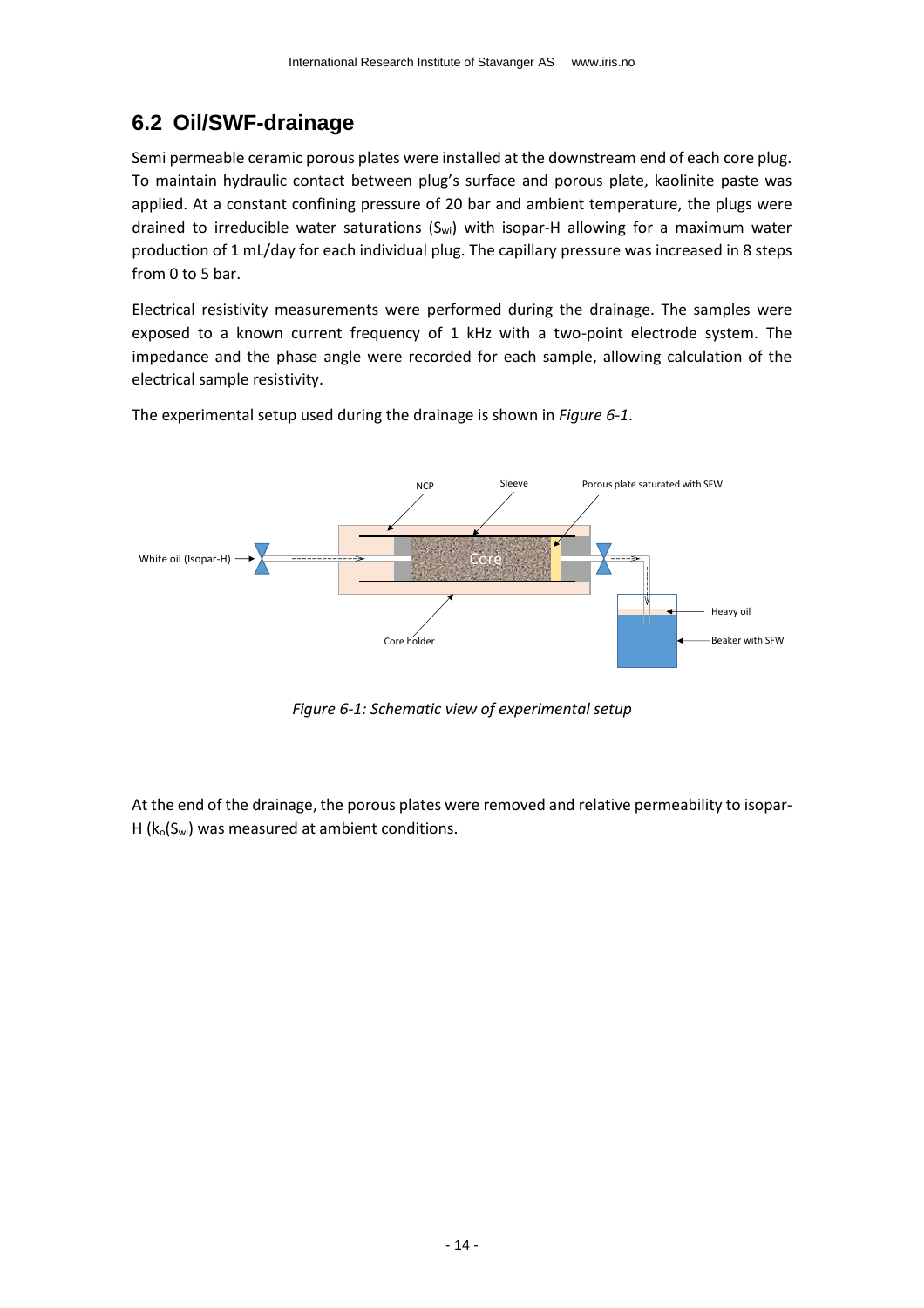## <span id="page-13-0"></span>**6.2 Oil/SWF-drainage**

Semi permeable ceramic porous plates were installed at the downstream end of each core plug. To maintain hydraulic contact between plug's surface and porous plate, kaolinite paste was applied. At a constant confining pressure of 20 bar and ambient temperature, the plugs were drained to irreducible water saturations  $(S_{wi})$  with isopar-H allowing for a maximum water production of 1 mL/day for each individual plug. The capillary pressure was increased in 8 steps from 0 to 5 bar.

Electrical resistivity measurements were performed during the drainage. The samples were exposed to a known current frequency of 1 kHz with a two-point electrode system. The impedance and the phase angle were recorded for each sample, allowing calculation of the electrical sample resistivity.

The experimental setup used during the drainage is shown in *[Figure 6-1](#page-13-1)*.



*Figure 6-1: Schematic view of experimental setup*

<span id="page-13-1"></span>At the end of the drainage, the porous plates were removed and relative permeability to isopar-H ( $k_0(S_{wi})$  was measured at ambient conditions.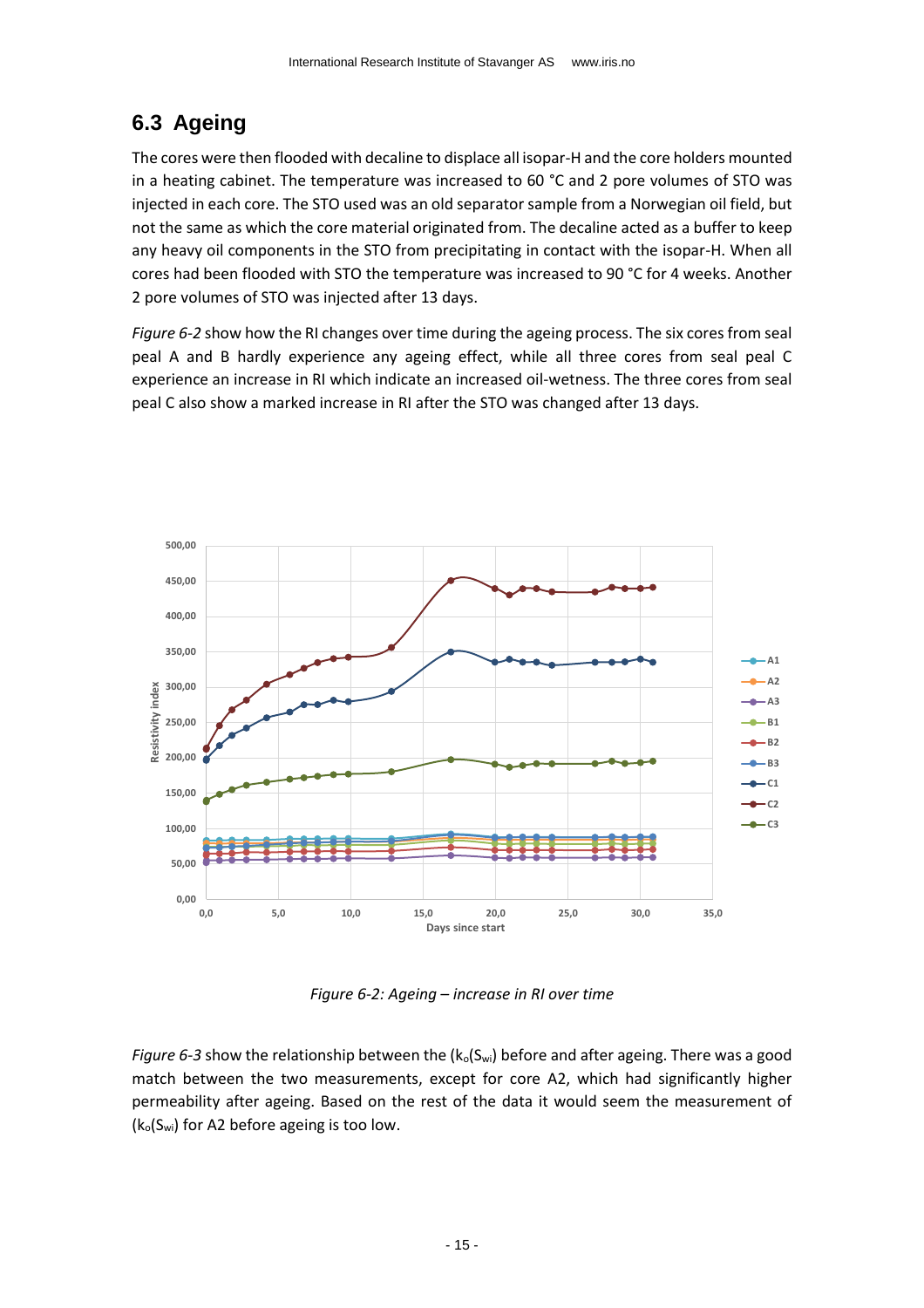## <span id="page-14-0"></span>**6.3 Ageing**

The cores were then flooded with decaline to displace all isopar-H and the core holders mounted in a heating cabinet. The temperature was increased to 60 °C and 2 pore volumes of STO was injected in each core. The STO used was an old separator sample from a Norwegian oil field, but not the same as which the core material originated from. The decaline acted as a buffer to keep any heavy oil components in the STO from precipitating in contact with the isopar-H. When all cores had been flooded with STO the temperature was increased to 90 °C for 4 weeks. Another 2 pore volumes of STO was injected after 13 days.

*[Figure 6-2](#page-14-1)* show how the RI changes over time during the ageing process. The six cores from seal peal A and B hardly experience any ageing effect, while all three cores from seal peal C experience an increase in RI which indicate an increased oil-wetness. The three cores from seal peal C also show a marked increase in RI after the STO was changed after 13 days.



*Figure 6-2: Ageing – increase in RI over time*

<span id="page-14-1"></span>*[Figure 6-3](#page-15-1)* show the relationship between the  $(k_0(S_{wi})$  before and after ageing. There was a good match between the two measurements, except for core A2, which had significantly higher permeability after ageing. Based on the rest of the data it would seem the measurement of  $(k_0(S_{wi})$  for A2 before ageing is too low.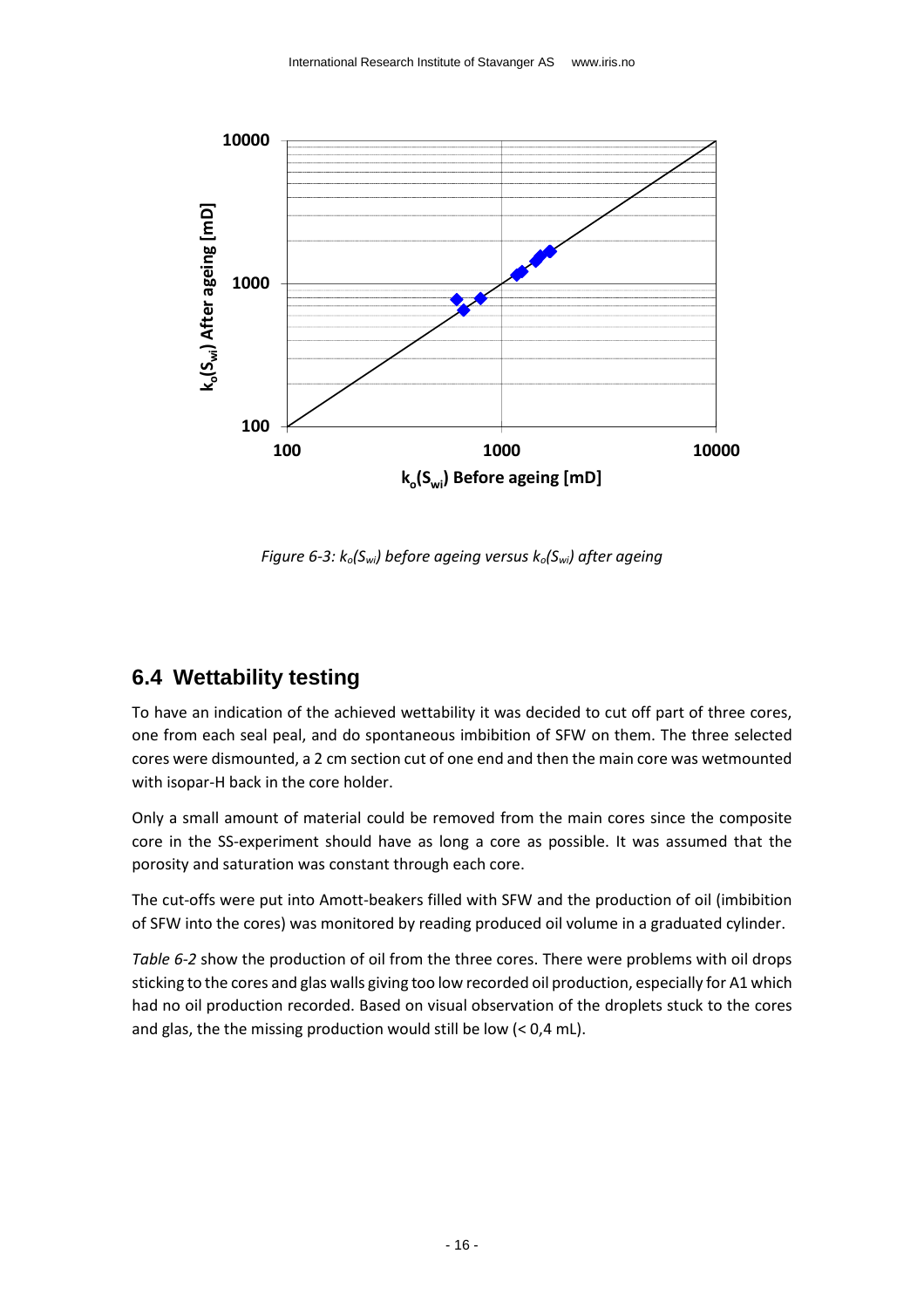

<span id="page-15-1"></span>*Figure 6-3: ko(Swi) before ageing versus ko(Swi) after ageing*

### <span id="page-15-0"></span>**6.4 Wettability testing**

To have an indication of the achieved wettability it was decided to cut off part of three cores, one from each seal peal, and do spontaneous imbibition of SFW on them. The three selected cores were dismounted, a 2 cm section cut of one end and then the main core was wetmounted with isopar-H back in the core holder.

Only a small amount of material could be removed from the main cores since the composite core in the SS-experiment should have as long a core as possible. It was assumed that the porosity and saturation was constant through each core.

The cut-offs were put into Amott-beakers filled with SFW and the production of oil (imbibition of SFW into the cores) was monitored by reading produced oil volume in a graduated cylinder.

*[Table 6-2](#page-16-1)* show the production of oil from the three cores. There were problems with oil drops sticking to the cores and glas walls giving too low recorded oil production, especially for A1 which had no oil production recorded. Based on visual observation of the droplets stuck to the cores and glas, the the missing production would still be low (< 0,4 mL).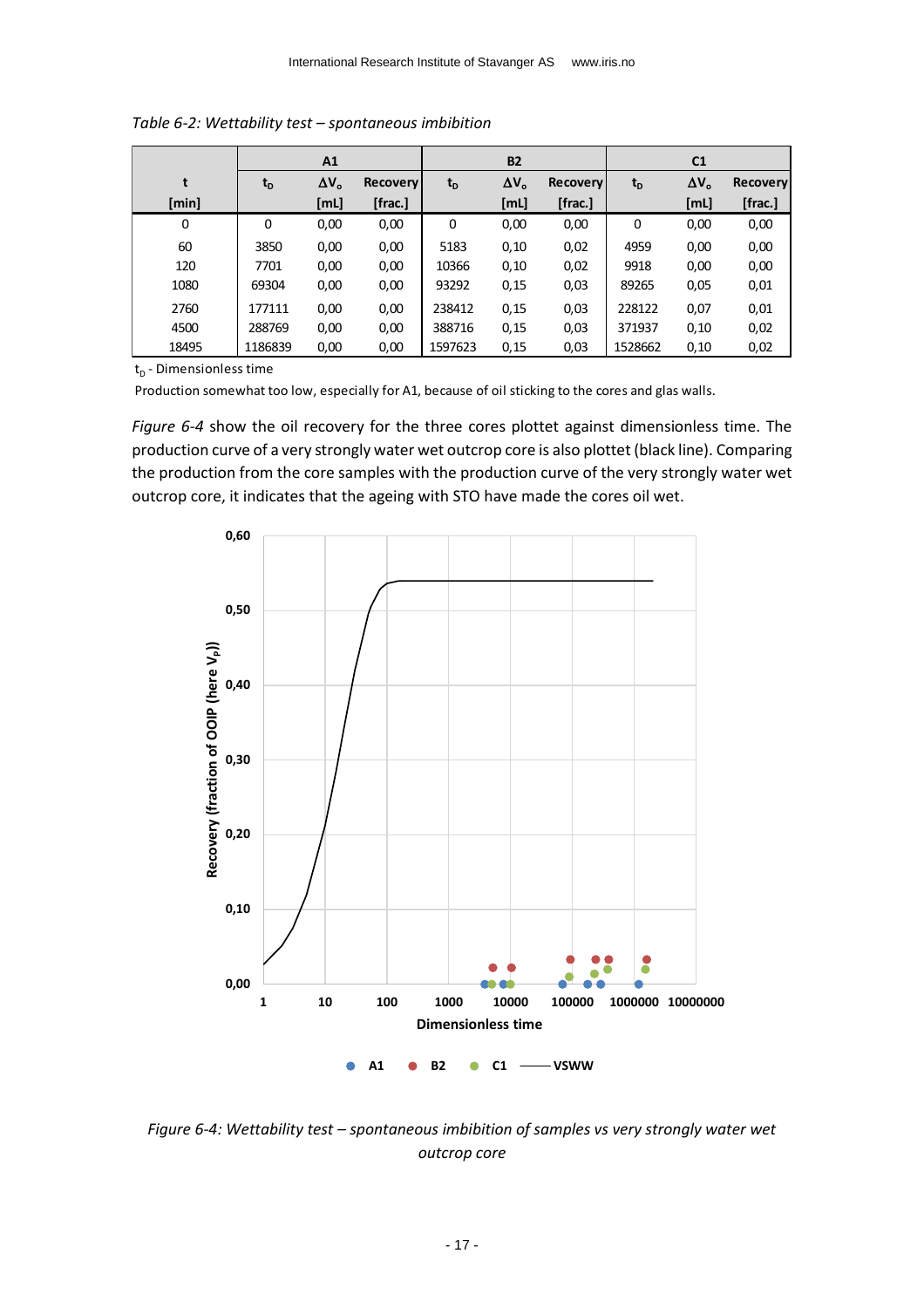|             |         | A1           |                 |         | <b>B2</b>    |                 |         | C <sub>1</sub> |                 |
|-------------|---------|--------------|-----------------|---------|--------------|-----------------|---------|----------------|-----------------|
| t           | $t_{D}$ | $\Delta V_o$ | <b>Recovery</b> | $t_{D}$ | $\Delta V_o$ | <b>Recovery</b> | $t_{D}$ | $\Delta V_o$   | <b>Recovery</b> |
| [min]       |         | [mL]         | [frac.]         |         | [ML]         | [frac.]         |         | [mL]           | [frac.]         |
| $\mathbf 0$ | 0       | 0,00         | 0,00            | 0       | 0,00         | 0,00            | 0       | 0,00           | 0,00            |
| 60          | 3850    | 0,00         | 0,00            | 5183    | 0,10         | 0,02            | 4959    | 0,00           | 0,00            |
| 120         | 7701    | 0,00         | 0,00            | 10366   | 0,10         | 0,02            | 9918    | 0,00           | 0,00            |
| 1080        | 69304   | 0,00         | 0,00            | 93292   | 0,15         | 0,03            | 89265   | 0,05           | 0,01            |
| 2760        | 177111  | 0,00         | 0,00            | 238412  | 0,15         | 0,03            | 228122  | 0,07           | 0,01            |
| 4500        | 288769  | 0,00         | 0,00            | 388716  | 0,15         | 0,03            | 371937  | 0,10           | 0,02            |
| 18495       | 1186839 | 0,00         | 0,00            | 1597623 | 0,15         | 0,03            | 1528662 | 0,10           | 0,02            |

<span id="page-16-1"></span>*Table 6-2: Wettability test – spontaneous imbibition*

 $t_D$  - Dimensionless time

Production somewhat too low, especially for A1, because of oil sticking to the cores and glas walls.

*[Figure 6-4](#page-16-0)* show the oil recovery for the three cores plottet against dimensionless time. The production curve of a very strongly water wet outcrop core is also plottet (black line). Comparing the production from the core samples with the production curve of the very strongly water wet outcrop core, it indicates that the ageing with STO have made the cores oil wet.



<span id="page-16-0"></span>*Figure 6-4: Wettability test – spontaneous imbibition of samples vs very strongly water wet outcrop core*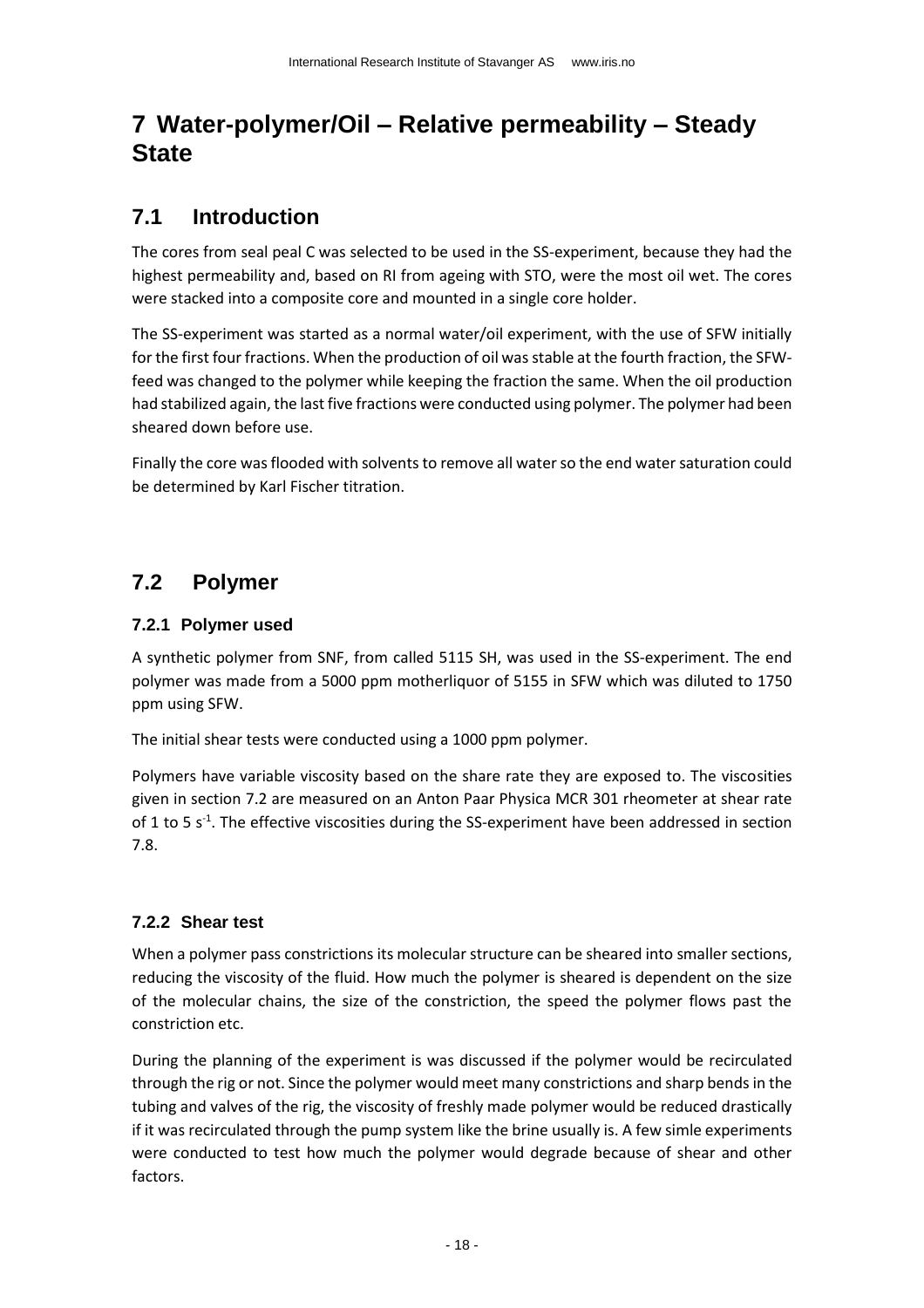# <span id="page-17-0"></span>**7 Water-polymer/Oil – Relative permeability – Steady State**

## <span id="page-17-1"></span>**7.1 Introduction**

The cores from seal peal C was selected to be used in the SS-experiment, because they had the highest permeability and, based on RI from ageing with STO, were the most oil wet. The cores were stacked into a composite core and mounted in a single core holder.

The SS-experiment was started as a normal water/oil experiment, with the use of SFW initially for the first four fractions. When the production of oil was stable at the fourth fraction, the SFWfeed was changed to the polymer while keeping the fraction the same. When the oil production had stabilized again, the last five fractions were conducted using polymer. The polymer had been sheared down before use.

Finally the core was flooded with solvents to remove all water so the end water saturation could be determined by Karl Fischer titration.

## <span id="page-17-2"></span>**7.2 Polymer**

### <span id="page-17-3"></span>**7.2.1 Polymer used**

A synthetic polymer from SNF, from called 5115 SH, was used in the SS-experiment. The end polymer was made from a 5000 ppm motherliquor of 5155 in SFW which was diluted to 1750 ppm using SFW.

The initial shear tests were conducted using a 1000 ppm polymer.

Polymers have variable viscosity based on the share rate they are exposed to. The viscosities given in section [7.2](#page-17-2) are measured on an Anton Paar Physica MCR 301 rheometer at shear rate of 1 to 5  $s<sup>-1</sup>$ . The effective viscosities during the SS-experiment have been addressed in section [7.8.](#page-27-0)

### <span id="page-17-4"></span>**7.2.2 Shear test**

When a polymer pass constrictions its molecular structure can be sheared into smaller sections, reducing the viscosity of the fluid. How much the polymer is sheared is dependent on the size of the molecular chains, the size of the constriction, the speed the polymer flows past the constriction etc.

During the planning of the experiment is was discussed if the polymer would be recirculated through the rig or not. Since the polymer would meet many constrictions and sharp bends in the tubing and valves of the rig, the viscosity of freshly made polymer would be reduced drastically if it was recirculated through the pump system like the brine usually is. A few simle experiments were conducted to test how much the polymer would degrade because of shear and other factors.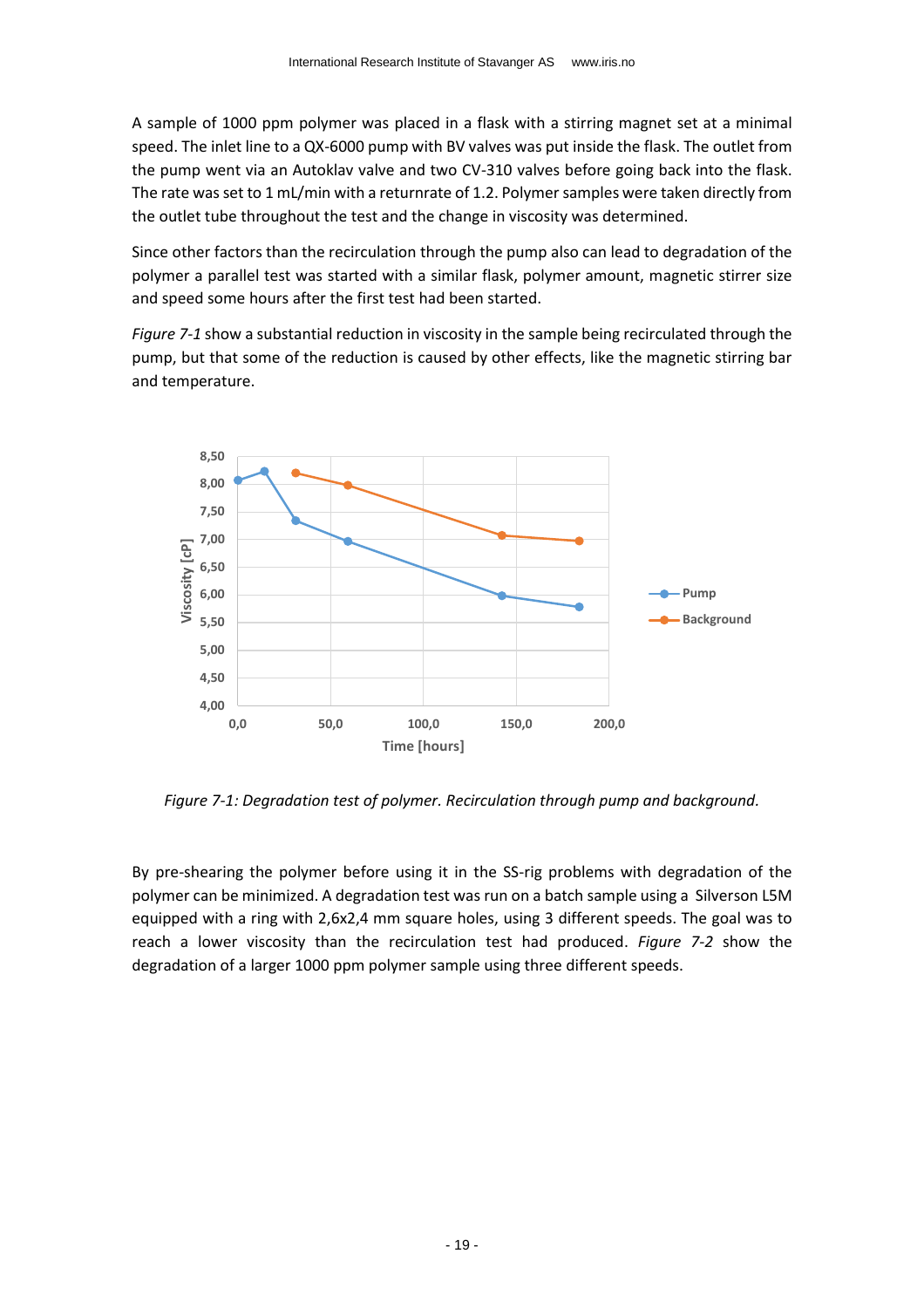A sample of 1000 ppm polymer was placed in a flask with a stirring magnet set at a minimal speed. The inlet line to a QX-6000 pump with BV valves was put inside the flask. The outlet from the pump went via an Autoklav valve and two CV-310 valves before going back into the flask. The rate was set to 1 mL/min with a returnrate of 1.2. Polymer samples were taken directly from the outlet tube throughout the test and the change in viscosity was determined.

Since other factors than the recirculation through the pump also can lead to degradation of the polymer a parallel test was started with a similar flask, polymer amount, magnetic stirrer size and speed some hours after the first test had been started.

*[Figure 7-1](#page-18-0)* show a substantial reduction in viscosity in the sample being recirculated through the pump, but that some of the reduction is caused by other effects, like the magnetic stirring bar and temperature.



<span id="page-18-0"></span>*Figure 7-1: Degradation test of polymer. Recirculation through pump and background.*

By pre-shearing the polymer before using it in the SS-rig problems with degradation of the polymer can be minimized. A degradation test was run on a batch sample using a Silverson L5M equipped with a ring with 2,6x2,4 mm square holes, using 3 different speeds. The goal was to reach a lower viscosity than the recirculation test had produced. *[Figure 7-2](#page-19-0)* show the degradation of a larger 1000 ppm polymer sample using three different speeds.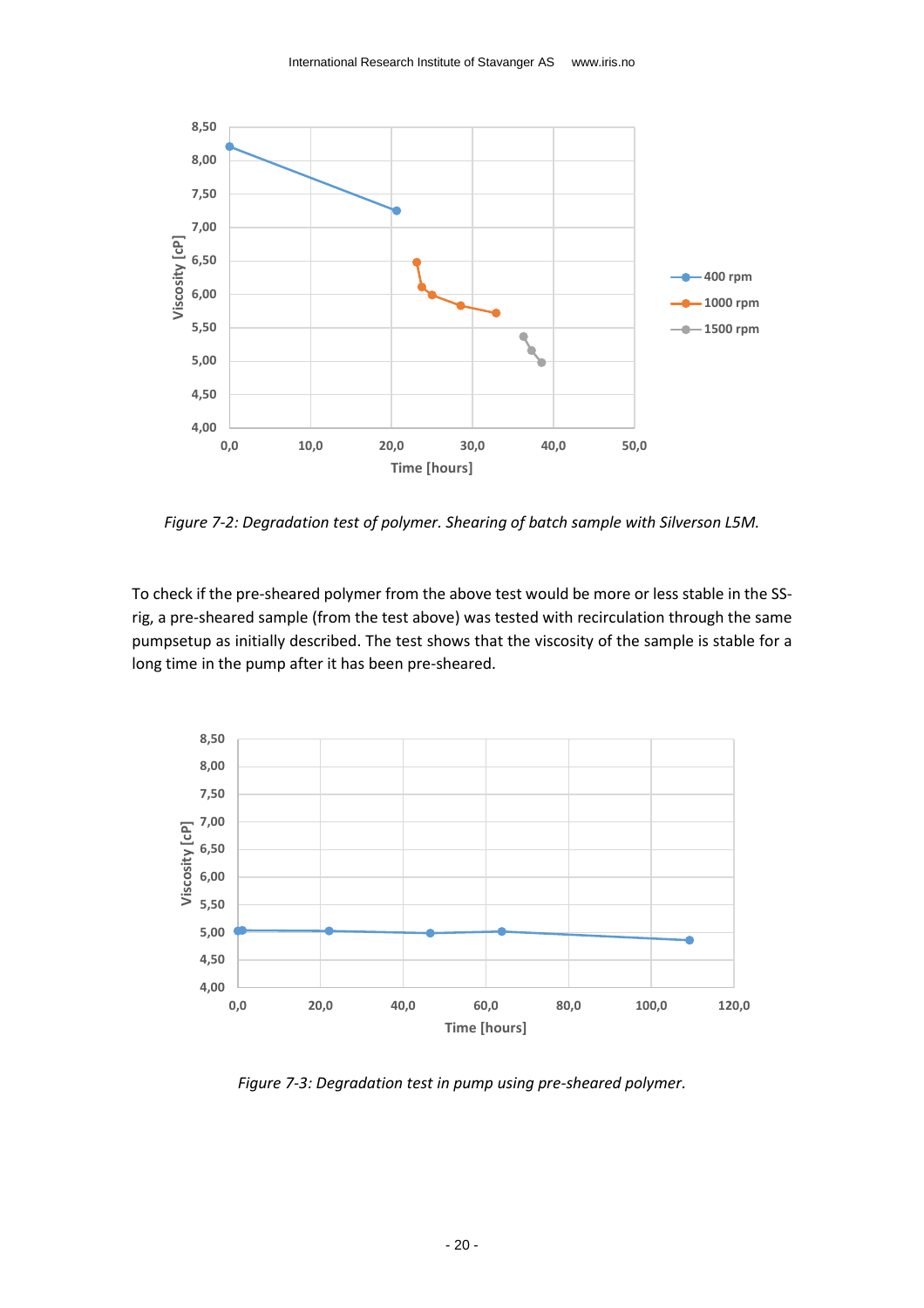

<span id="page-19-0"></span>*Figure 7-2: Degradation test of polymer. Shearing of batch sample with Silverson L5M.*

To check if the pre-sheared polymer from the above test would be more or less stable in the SSrig, a pre-sheared sample (from the test above) was tested with recirculation through the same pumpsetup as initially described. The test shows that the viscosity of the sample is stable for a long time in the pump after it has been pre-sheared.



<span id="page-19-1"></span>*Figure 7-3: Degradation test in pump using pre-sheared polymer.*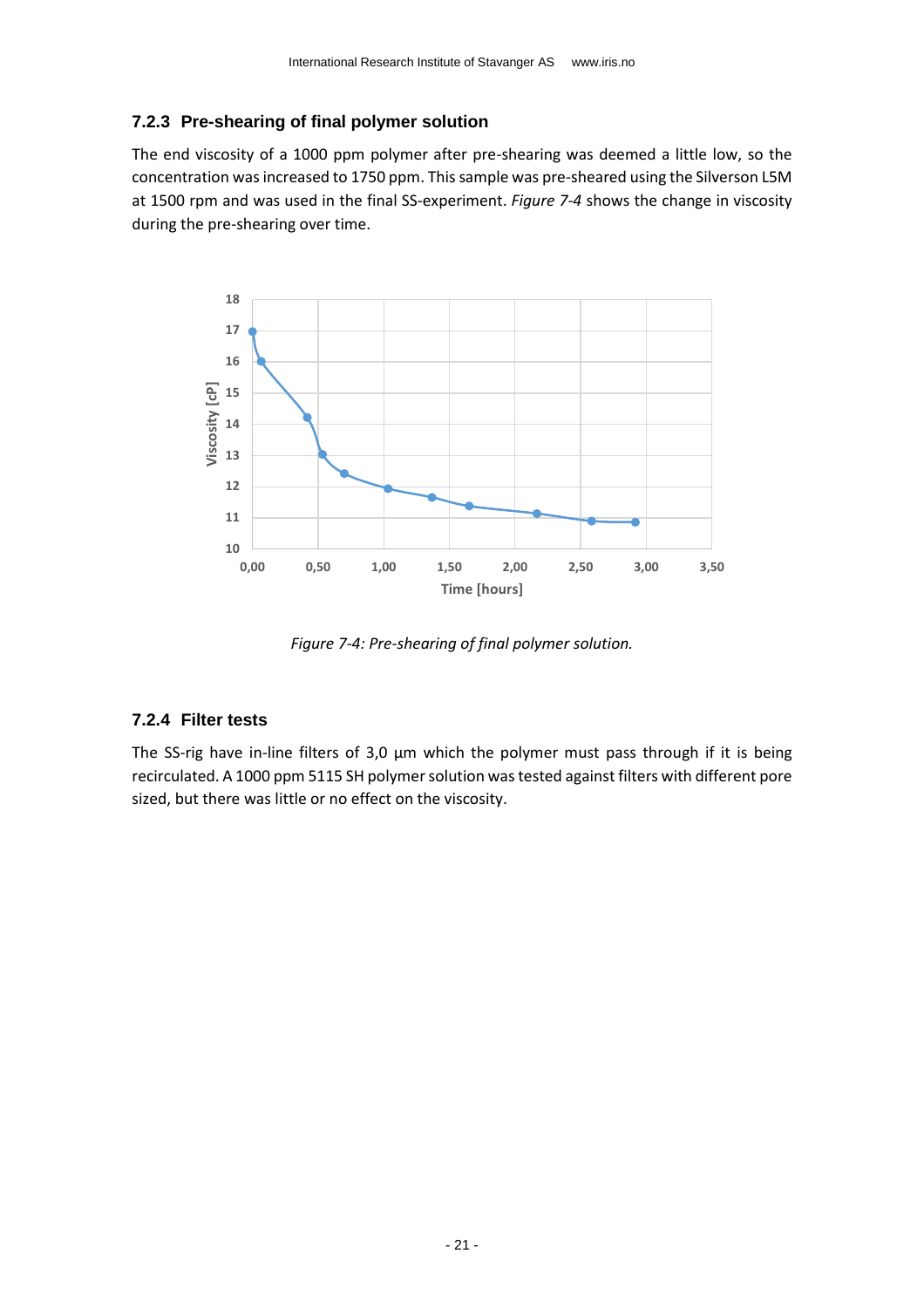#### <span id="page-20-0"></span>**7.2.3 Pre-shearing of final polymer solution**

The end viscosity of a 1000 ppm polymer after pre-shearing was deemed a little low, so the concentration was increased to 1750 ppm. This sample was pre-sheared using the Silverson L5M at 1500 rpm and was used in the final SS-experiment. *[Figure 7-4](#page-20-2)* shows the change in viscosity during the pre-shearing over time.



*Figure 7-4: Pre-shearing of final polymer solution.*

#### <span id="page-20-2"></span><span id="page-20-1"></span>**7.2.4 Filter tests**

The SS-rig have in-line filters of 3,0 µm which the polymer must pass through if it is being recirculated. A 1000 ppm 5115 SH polymer solution was tested against filters with different pore sized, but there was little or no effect on the viscosity.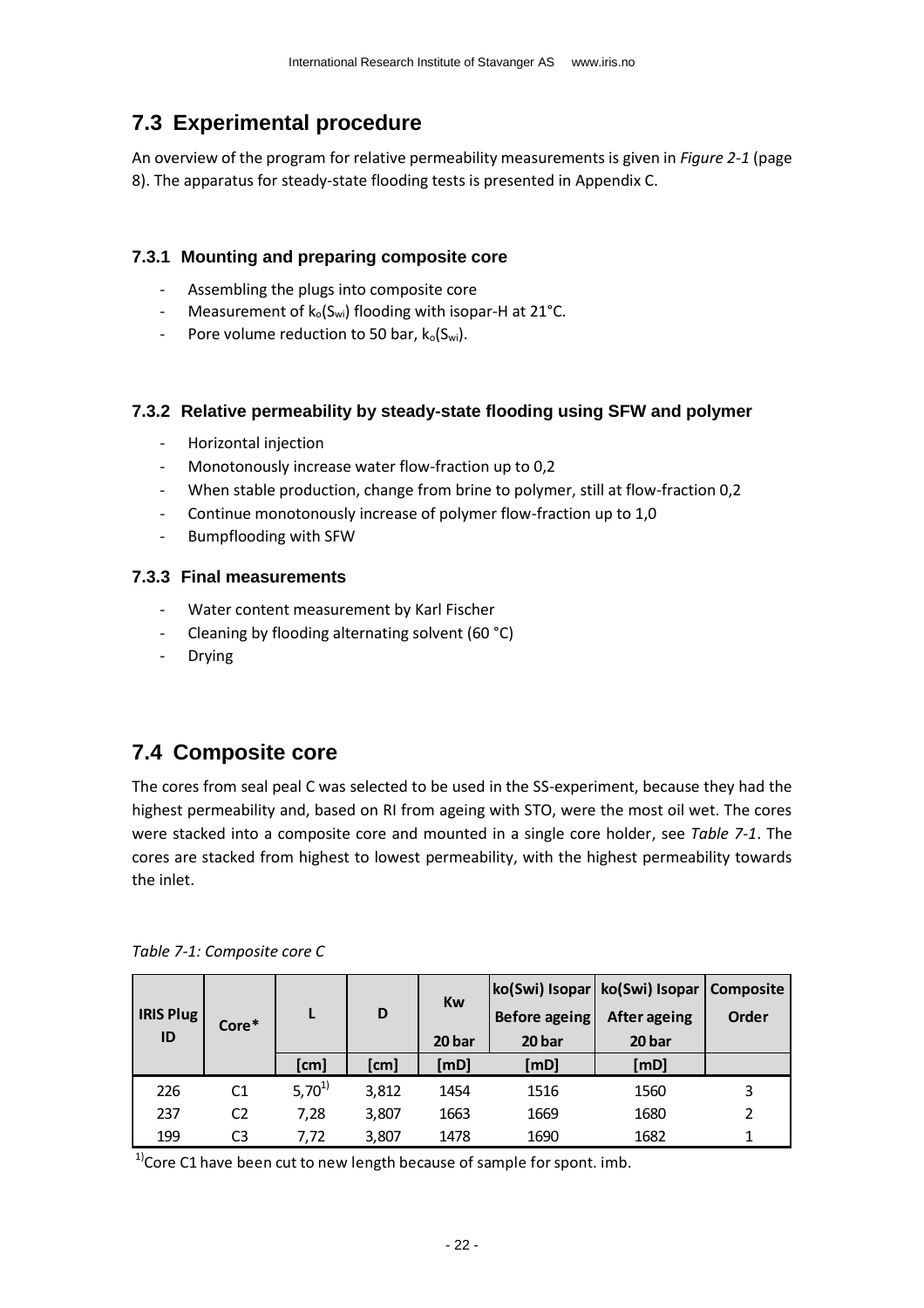## <span id="page-21-0"></span>**7.3 Experimental procedure**

An overview of the program for relative permeability measurements is given in *[Figure 2-1](#page-7-0)* (page [8\)](#page-7-0). The apparatus for steady-state flooding tests is presented in [Appendix C.](#page-33-0)

#### <span id="page-21-1"></span>**7.3.1 Mounting and preparing composite core**

- Assembling the plugs into composite core
- Measurement of  $k_0(S_{wi})$  flooding with isopar-H at 21°C.
- Pore volume reduction to 50 bar,  $k_o(S_w)$ .

#### <span id="page-21-2"></span>**7.3.2 Relative permeability by steady-state flooding using SFW and polymer**

- Horizontal injection
- Monotonously increase water flow-fraction up to 0,2
- When stable production, change from brine to polymer, still at flow-fraction 0,2
- Continue monotonously increase of polymer flow-fraction up to 1,0
- Bumpflooding with SFW

#### <span id="page-21-3"></span>**7.3.3 Final measurements**

- Water content measurement by Karl Fischer
- Cleaning by flooding alternating solvent (60 °C)
- Drying

### <span id="page-21-4"></span>**7.4 Composite core**

The cores from seal peal C was selected to be used in the SS-experiment, because they had the highest permeability and, based on RI from ageing with STO, were the most oil wet. The cores were stacked into a composite core and mounted in a single core holder, see *[Table 7-1](#page-21-5)*. The cores are stacked from highest to lowest permeability, with the highest permeability towards the inlet.

| <b>IRIS Plug</b><br>ID | Core*          | L          | D     | Kw<br>20 bar | Before ageing<br>20 bar | ko(Swi) Isopar   ko(Swi) Isopar   Composite<br><b>After ageing</b><br>20 bar | Order |
|------------------------|----------------|------------|-------|--------------|-------------------------|------------------------------------------------------------------------------|-------|
|                        |                | [cm]       | [cm]  | [mD]         | [mD]                    | [mD]                                                                         |       |
| 226                    | C <sub>1</sub> | $5,70^{1}$ | 3,812 | 1454         | 1516                    | 1560                                                                         | 3     |
| 237                    | C <sub>2</sub> | 7,28       | 3,807 | 1663         | 1669                    | 1680                                                                         |       |
| 199                    | C3             | 7,72       | 3,807 | 1478         | 1690                    | 1682                                                                         |       |

<span id="page-21-5"></span>*Table 7-1: Composite core C*

 $1$ <sup>1</sup>Core C1 have been cut to new length because of sample for spont. imb.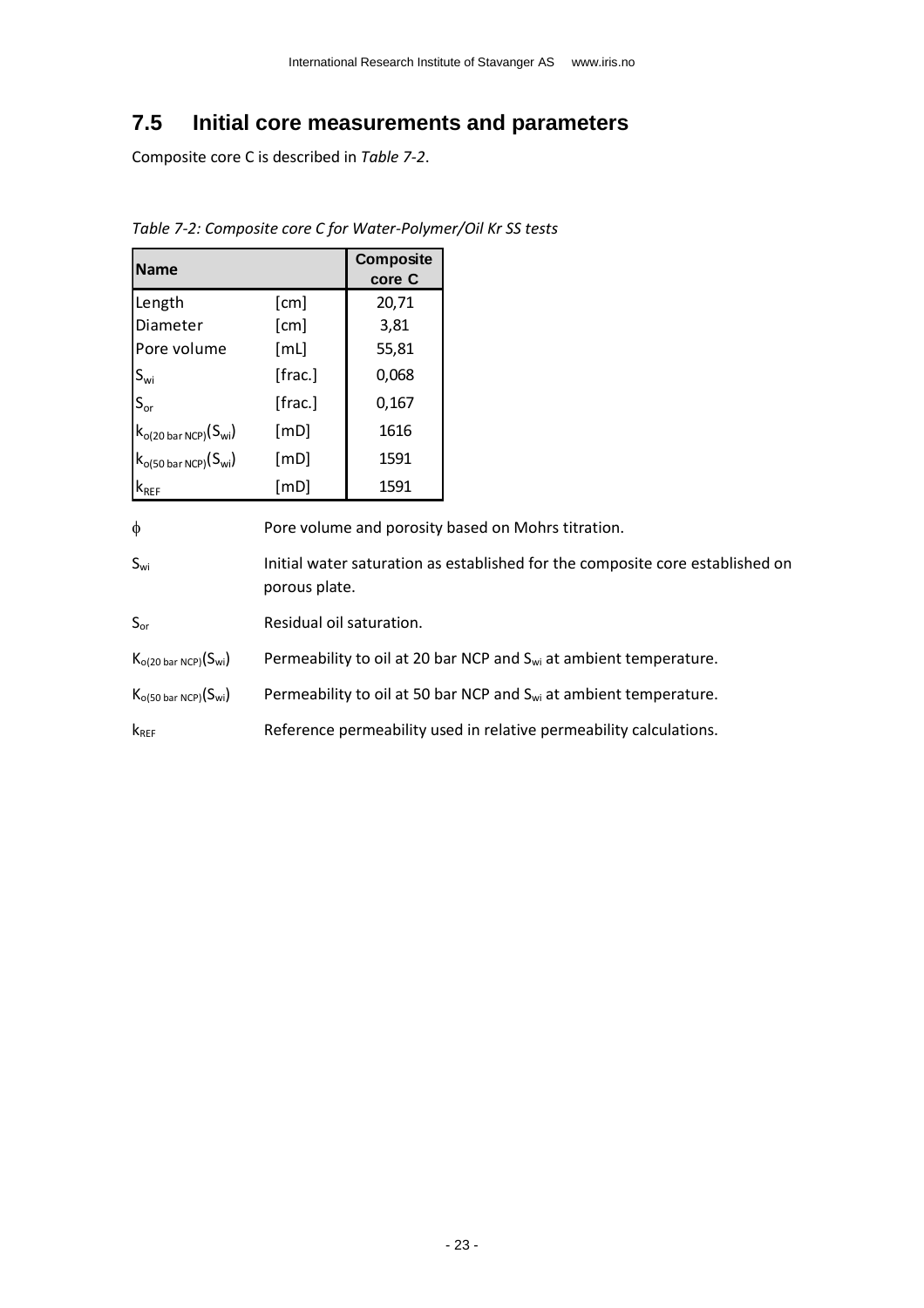### <span id="page-22-0"></span>**7.5 Initial core measurements and parameters**

Composite core C is described in *[Table 7-2](#page-22-1)*.

<span id="page-22-1"></span>*Table 7-2: Composite core C for Water-Polymer/Oil Kr SS tests*

| <b>Name</b>                        |         | Composite<br>core C |
|------------------------------------|---------|---------------------|
| Length                             | [cm]    | 20,71               |
| Diameter                           | [cm]    | 3,81                |
| Pore volume                        | [ML]    | 55,81               |
| $S_{wi}$                           | [frac.] | 0,068               |
| $S_{\text{or}}$                    | [frac.] | 0,167               |
| $k_{o(20\text{ bar NCP})}(S_{wi})$ | [mD]    | 1616                |
| $k_{o(50\text{ bar NCP})}(S_{wi})$ | [mD]    | 1591                |
| $\mathsf{k}_{\mathsf{REF}}$        | [mD]    | 1591                |

 $\phi$  Pore volume and porosity based on Mohrs titration.

Swi Initial water saturation as established for the composite core established on porous plate.

S<sub>or</sub> Residual oil saturation.

- $K_{o(20 \text{ bar } NCP)}(S_{wi})$  Permeability to oil at 20 bar NCP and  $S_{wi}$  at ambient temperature.
- $K_{o(50 \text{ bar NCP})}(S_{wi})$  Permeability to oil at 50 bar NCP and  $S_{wi}$  at ambient temperature.

k<sub>REF</sub> Reference permeability used in relative permeability calculations.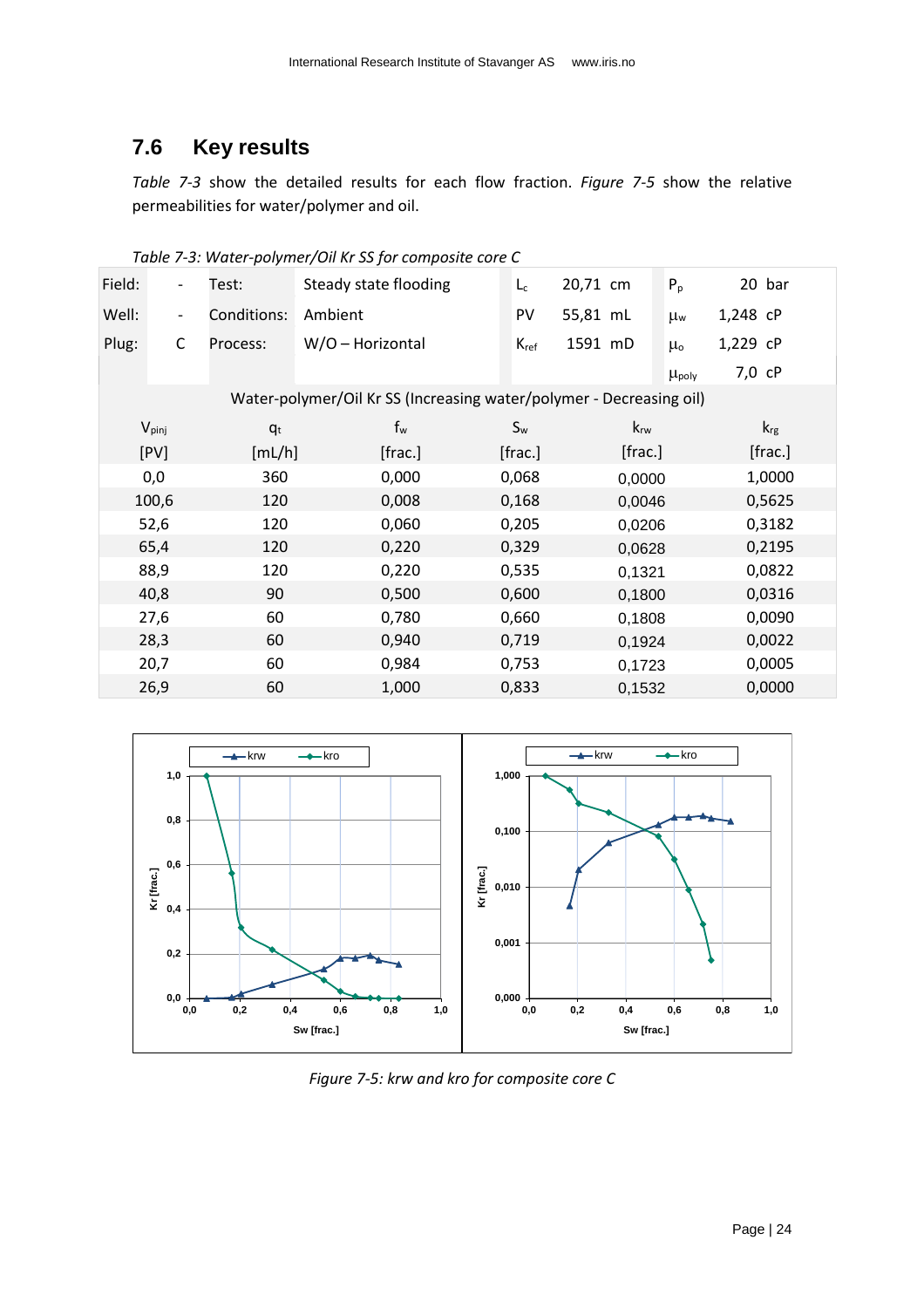## <span id="page-23-0"></span>**7.6 Key results**

*[Table 7-3](#page-23-2)* show the detailed results for each flow fraction. *[Figure 7-5](#page-23-1)* show the relative permeabilities for water/polymer and oil.

| Field: | $\overline{\phantom{a}}$ | Test:       | Steady state flooding                                               | $L_c$     | 20,71 cm | $P_p$<br>20 bar               |
|--------|--------------------------|-------------|---------------------------------------------------------------------|-----------|----------|-------------------------------|
| Well:  | $\overline{\phantom{a}}$ | Conditions: | Ambient                                                             | PV        | 55,81 mL | 1,248 cP<br>$\mu_{w}$         |
| Plug:  | $\mathsf C$              | Process:    | W/O - Horizontal                                                    | $K_{ref}$ | 1591 mD  | 1,229 cP<br>$\mu_{o}$         |
|        |                          |             |                                                                     |           |          | 7,0 cP<br>$\mu_{\text{poly}}$ |
|        |                          |             | Water-polymer/Oil Kr SS (Increasing water/polymer - Decreasing oil) |           |          |                               |
|        | $V_{pinj}$               | $q_t$       | $f_w$                                                               | $S_{w}$   | $k_{rw}$ | $k_{\text{rg}}$               |
|        | [PV]                     | [mL/h]      | [frac.]                                                             | [frac.]   | [frac.]  | [frac.]                       |
|        | 0,0                      | 360         | 0,000                                                               | 0,068     | 0,0000   | 1,0000                        |
|        | 100,6                    | 120         | 0,008                                                               | 0,168     | 0,0046   | 0,5625                        |
|        | 52,6                     | 120         | 0,060                                                               | 0,205     | 0,0206   | 0,3182                        |
|        | 65,4                     | 120         | 0,220                                                               | 0,329     | 0,0628   | 0,2195                        |
|        | 88,9                     | 120         | 0,220                                                               | 0,535     | 0,1321   | 0,0822                        |
|        | 40,8                     | 90          | 0,500                                                               | 0,600     | 0,1800   | 0,0316                        |
|        | 27,6                     | 60          | 0,780                                                               | 0,660     | 0,1808   | 0,0090                        |
|        | 28,3                     | 60          | 0,940                                                               | 0,719     | 0,1924   | 0,0022                        |
|        | 20,7                     | 60          | 0,984                                                               | 0,753     | 0,1723   | 0,0005                        |
|        | 26,9                     | 60          | 1,000                                                               | 0,833     | 0,1532   | 0,0000                        |

<span id="page-23-2"></span>*Table 7-3: Water-polymer/Oil Kr SS for composite core C*



<span id="page-23-1"></span>*Figure 7-5: krw and kro for composite core C*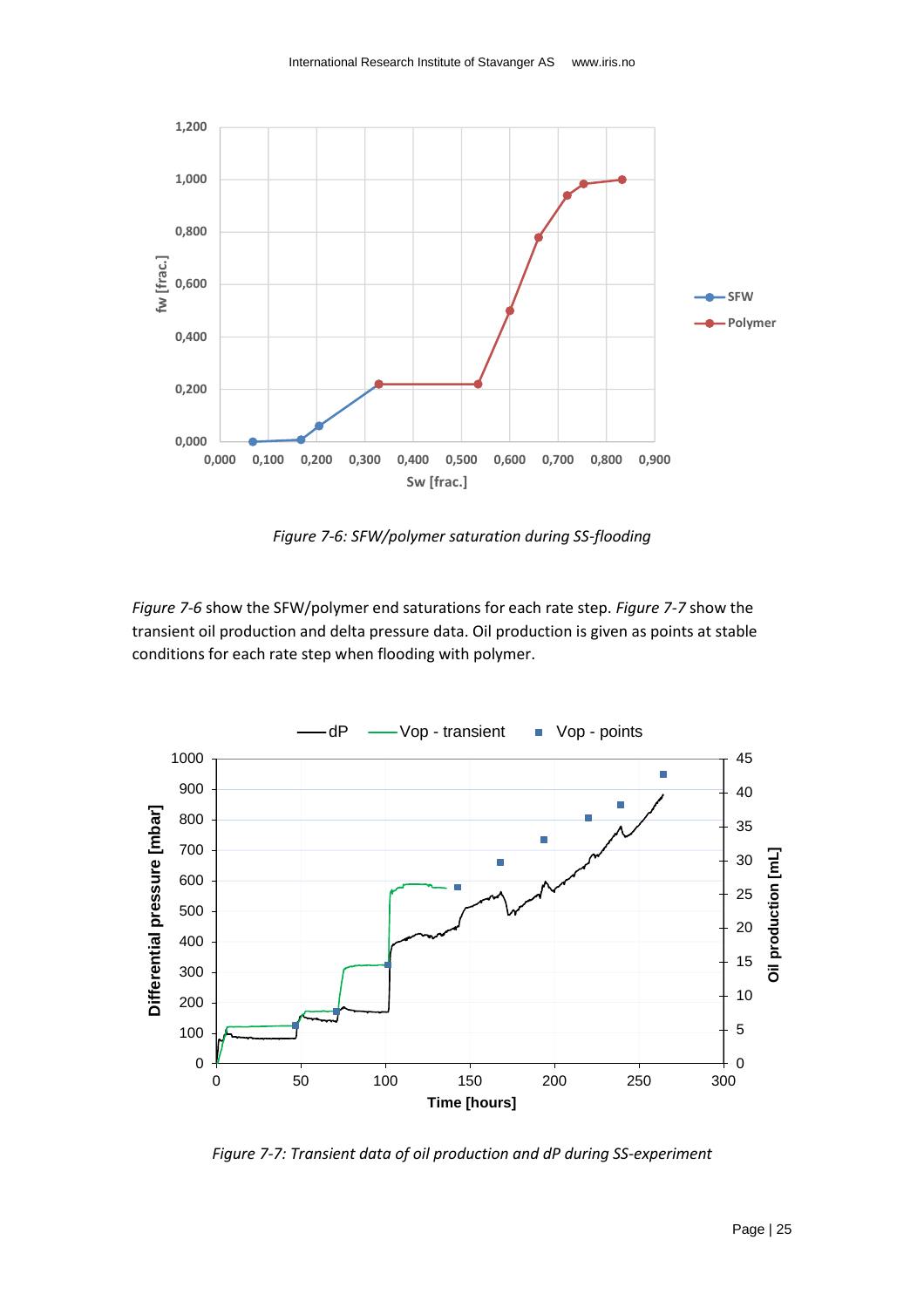

*Figure 7-6: SFW/polymer saturation during SS-flooding*

<span id="page-24-0"></span>*[Figure 7-6](#page-24-0)* show the SFW/polymer end saturations for each rate step. *[Figure 7-7](#page-24-1)* show the transient oil production and delta pressure data. Oil production is given as points at stable conditions for each rate step when flooding with polymer.



<span id="page-24-1"></span>*Figure 7-7: Transient data of oil production and dP during SS-experiment*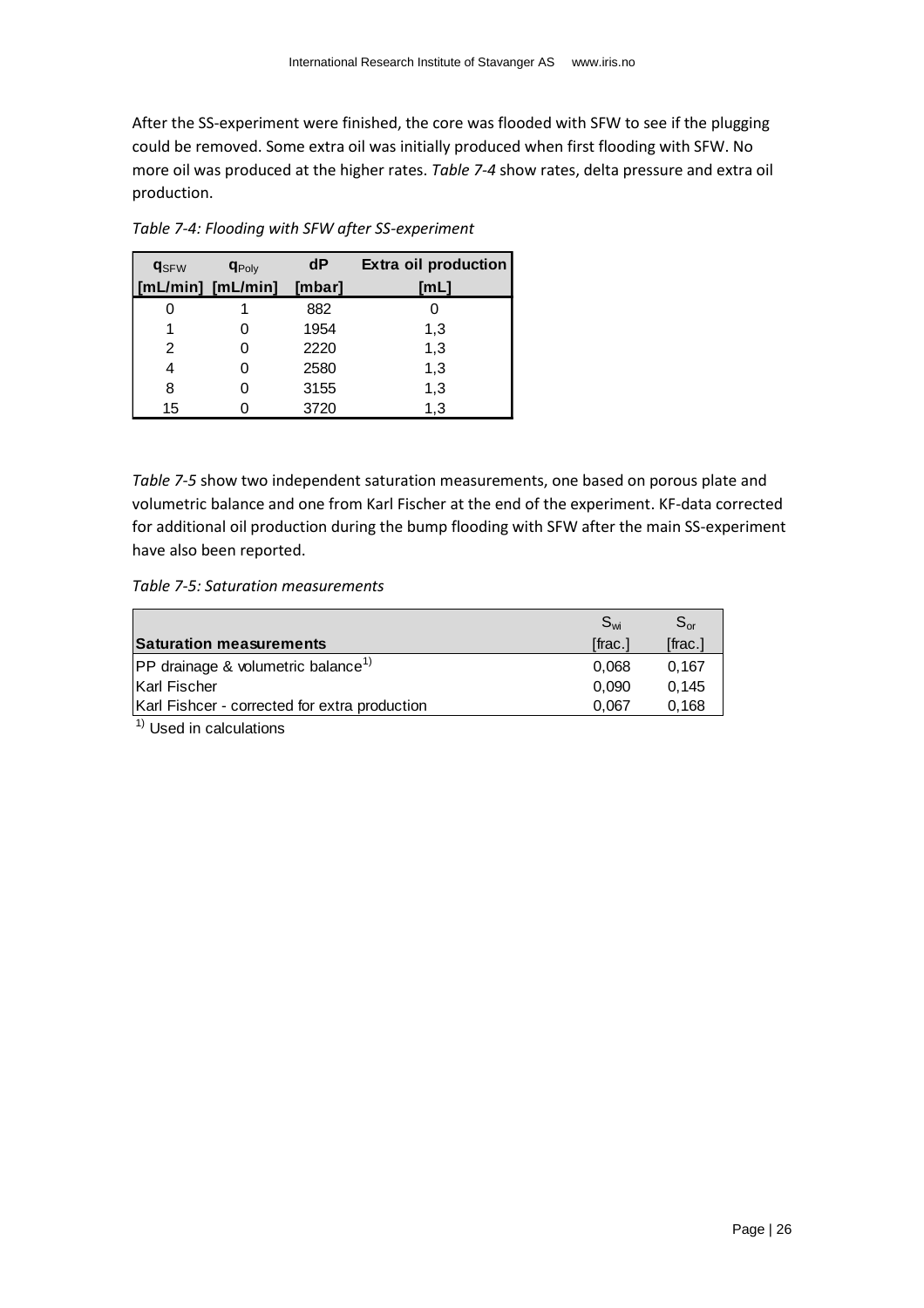After the SS-experiment were finished, the core was flooded with SFW to see if the plugging could be removed. Some extra oil was initially produced when first flooding with SFW. No more oil was produced at the higher rates. *[Table 7-4](#page-25-0)* show rates, delta pressure and extra oil production.

| <b>q</b> <sub>SFW</sub> | <b>q</b> Poly | dP     | Extra oil production |
|-------------------------|---------------|--------|----------------------|
| [mL/min] [mL/min]       |               | [mbar] | [ML]                 |
|                         |               | 882    |                      |
|                         |               | 1954   | 1,3                  |
| 2                       |               | 2220   | 1,3                  |
| 4                       |               | 2580   | 1,3                  |
| 8                       |               | 3155   | 1,3                  |
| 15                      |               | 3720   | 1,3                  |

<span id="page-25-0"></span>*Table 7-4: Flooding with SFW after SS-experiment*

*[Table 7-5](#page-25-1)* show two independent saturation measurements, one based on porous plate and volumetric balance and one from Karl Fischer at the end of the experiment. KF-data corrected for additional oil production during the bump flooding with SFW after the main SS-experiment have also been reported.

<span id="page-25-1"></span>*Table 7-5: Saturation measurements*

|                                                   | $S_{wi}$ | $S_{\alpha r}$ |
|---------------------------------------------------|----------|----------------|
| <b>Saturation measurements</b>                    | [frac.]  | [frac.]        |
| $ PP$ drainage & volumetric balance <sup>1)</sup> | 0.068    | 0.167          |
| Karl Fischer                                      | 0.090    | 0.145          |
| Karl Fishcer - corrected for extra production     | 0.067    | 0.168          |

 $<sup>1)</sup>$  Used in calculations</sup>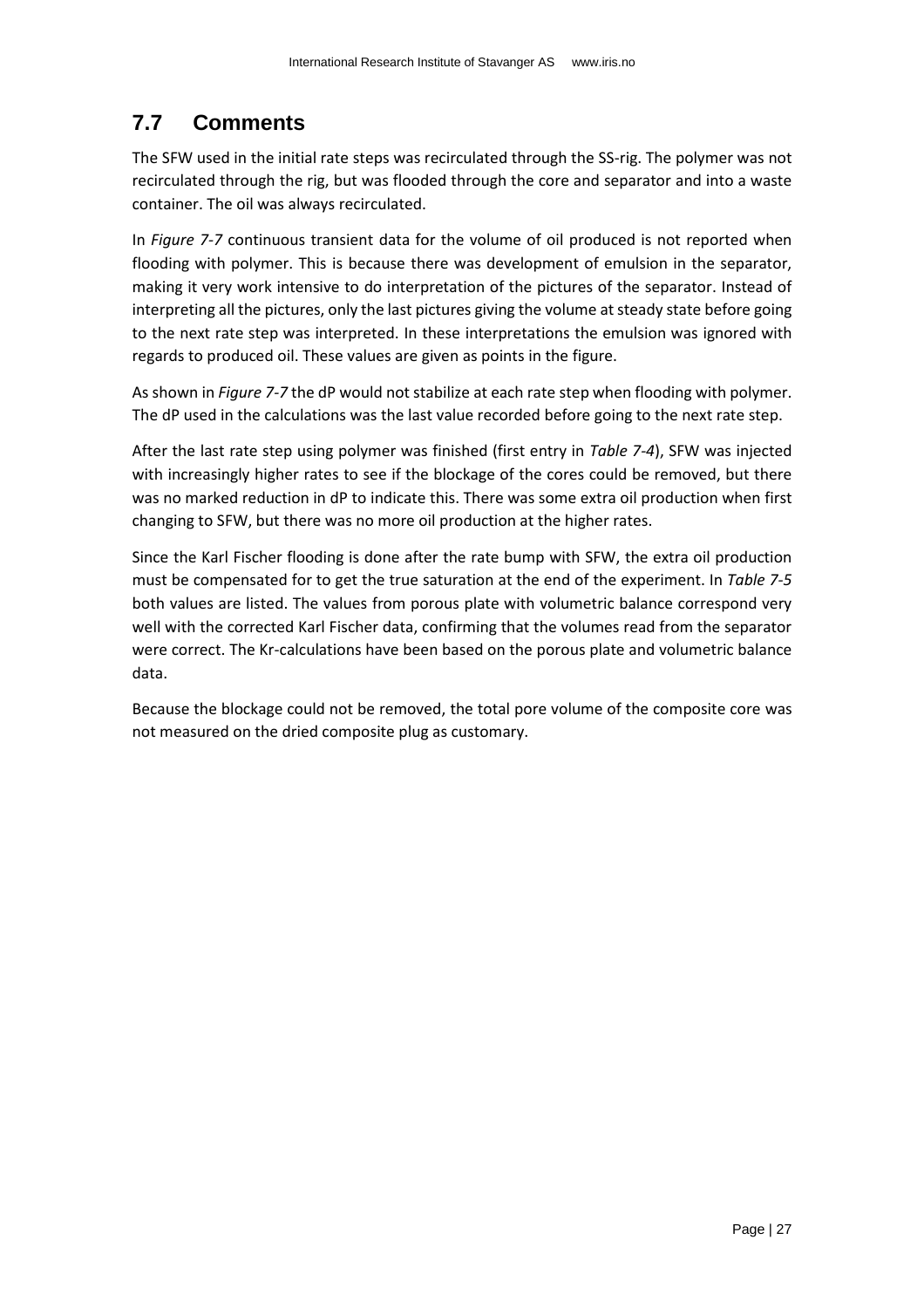## <span id="page-26-0"></span>**7.7 Comments**

The SFW used in the initial rate steps was recirculated through the SS-rig. The polymer was not recirculated through the rig, but was flooded through the core and separator and into a waste container. The oil was always recirculated.

In *[Figure 7-7](#page-24-1)* continuous transient data for the volume of oil produced is not reported when flooding with polymer. This is because there was development of emulsion in the separator, making it very work intensive to do interpretation of the pictures of the separator. Instead of interpreting all the pictures, only the last pictures giving the volume at steady state before going to the next rate step was interpreted. In these interpretations the emulsion was ignored with regards to produced oil. These values are given as points in the figure.

As shown in *[Figure 7-7](#page-24-1)* the dP would not stabilize at each rate step when flooding with polymer. The dP used in the calculations was the last value recorded before going to the next rate step.

After the last rate step using polymer was finished (first entry in *[Table 7-4](#page-25-0)*), SFW was injected with increasingly higher rates to see if the blockage of the cores could be removed, but there was no marked reduction in dP to indicate this. There was some extra oil production when first changing to SFW, but there was no more oil production at the higher rates.

Since the Karl Fischer flooding is done after the rate bump with SFW, the extra oil production must be compensated for to get the true saturation at the end of the experiment. In *[Table 7-5](#page-25-1)* both values are listed. The values from porous plate with volumetric balance correspond very well with the corrected Karl Fischer data, confirming that the volumes read from the separator were correct. The Kr-calculations have been based on the porous plate and volumetric balance data.

Because the blockage could not be removed, the total pore volume of the composite core was not measured on the dried composite plug as customary.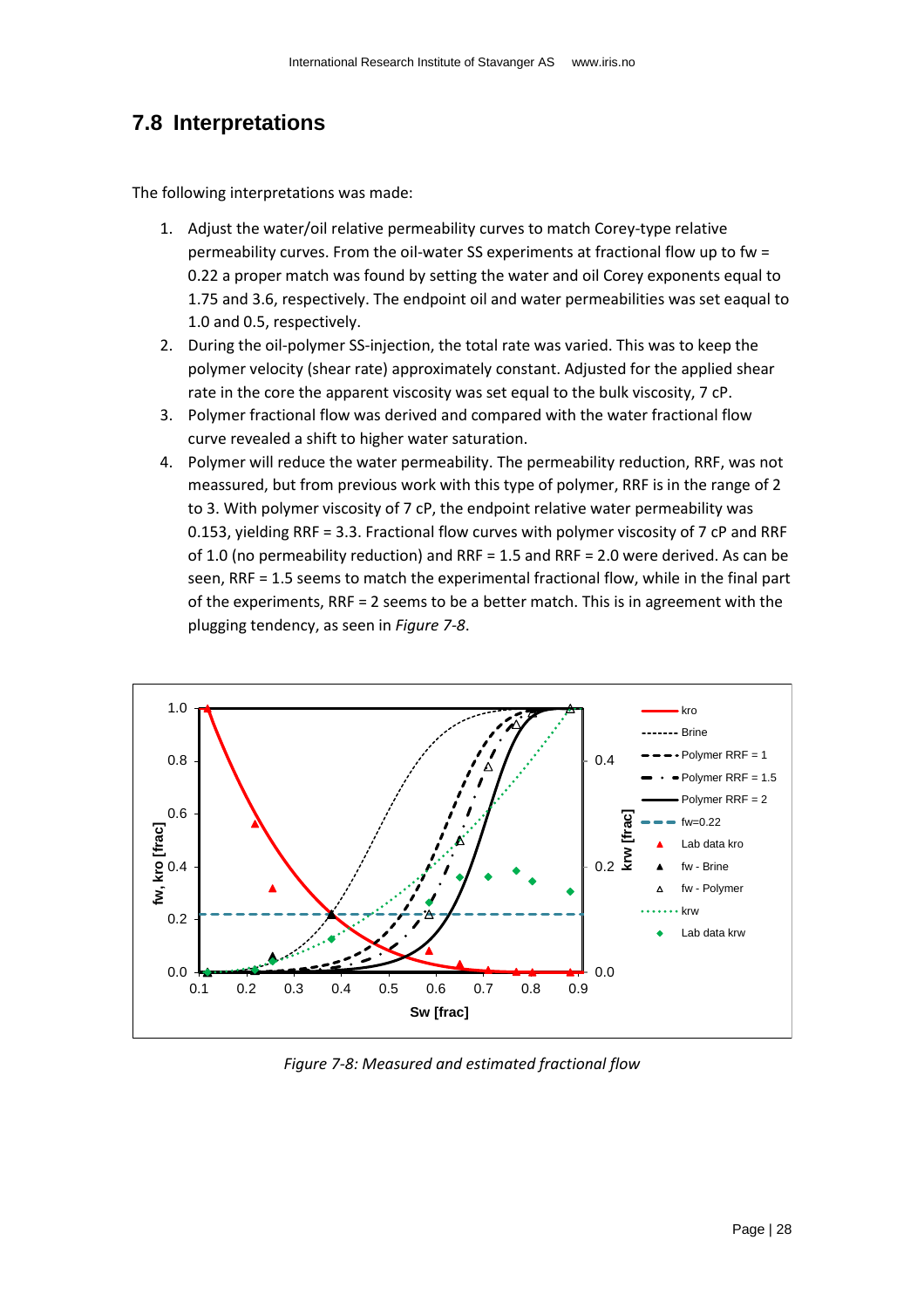### <span id="page-27-0"></span>**7.8 Interpretations**

The following interpretations was made:

- 1. Adjust the water/oil relative permeability curves to match Corey-type relative permeability curves. From the oil-water SS experiments at fractional flow up to fw = 0.22 a proper match was found by setting the water and oil Corey exponents equal to 1.75 and 3.6, respectively. The endpoint oil and water permeabilities was set eaqual to 1.0 and 0.5, respectively.
- 2. During the oil-polymer SS-injection, the total rate was varied. This was to keep the polymer velocity (shear rate) approximately constant. Adjusted for the applied shear rate in the core the apparent viscosity was set equal to the bulk viscosity, 7 cP.
- 3. Polymer fractional flow was derived and compared with the water fractional flow curve revealed a shift to higher water saturation.
- 4. Polymer will reduce the water permeability. The permeability reduction, RRF, was not meassured, but from previous work with this type of polymer, RRF is in the range of 2 to 3. With polymer viscosity of 7 cP, the endpoint relative water permeability was 0.153, yielding RRF = 3.3. Fractional flow curves with polymer viscosity of 7 cP and RRF of 1.0 (no permeability reduction) and RRF = 1.5 and RRF = 2.0 were derived. As can be seen, RRF = 1.5 seems to match the experimental fractional flow, while in the final part of the experiments, RRF = 2 seems to be a better match. This is in agreement with the plugging tendency, as seen in *[Figure 7-8](#page-27-1)*.



<span id="page-27-1"></span>*Figure 7-8: Measured and estimated fractional flow*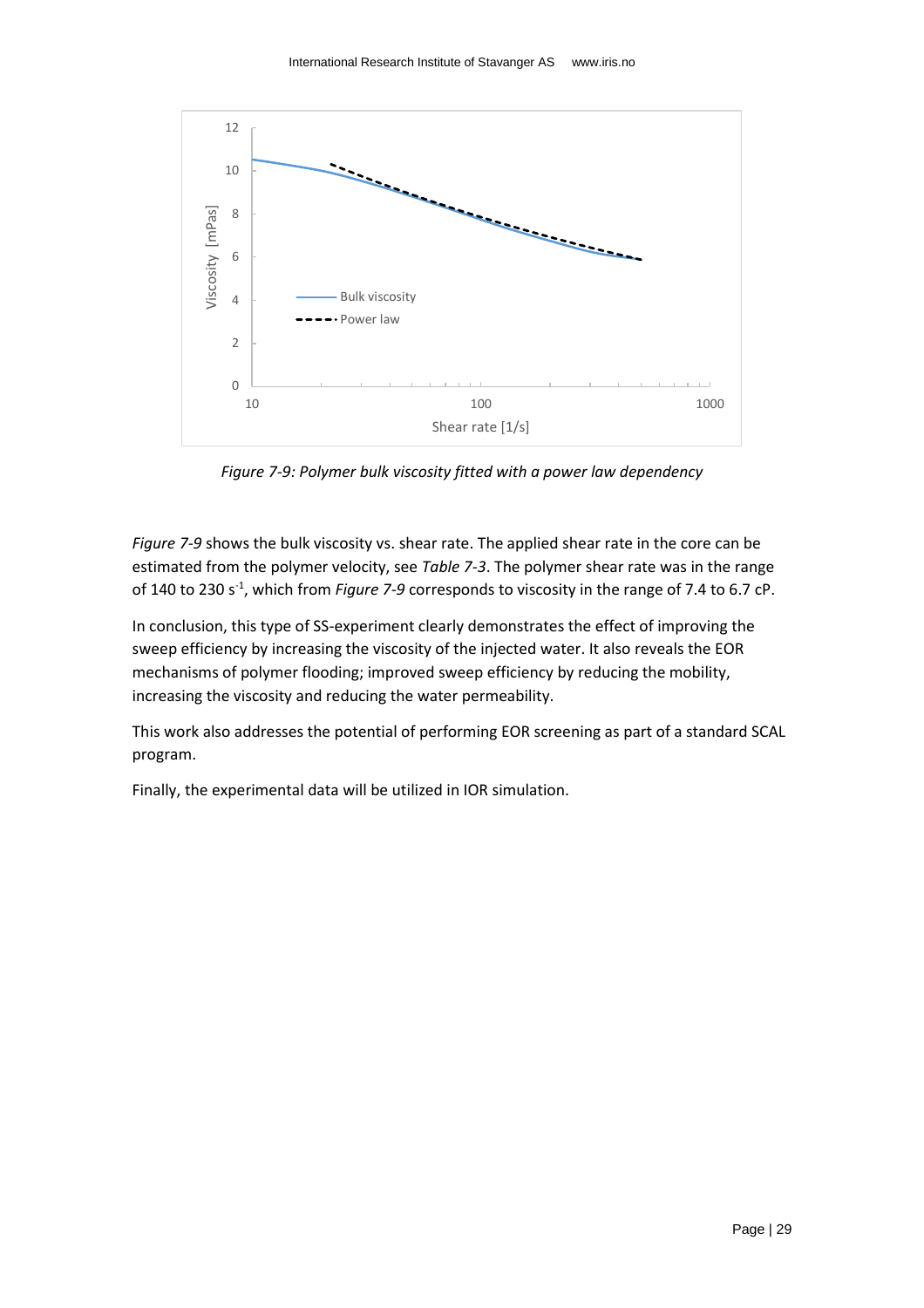

*Figure 7-9: Polymer bulk viscosity fitted with a power law dependency*

<span id="page-28-0"></span>*[Figure 7-9](#page-28-0)* shows the bulk viscosity vs. shear rate. The applied shear rate in the core can be estimated from the polymer velocity, see *[Table 7-3](#page-23-2)*. The polymer shear rate was in the range of 140 to 230 s<sup>-1</sup>, which from *[Figure 7-9](#page-28-0)* corresponds to viscosity in the range of 7.4 to 6.7 cP.

In conclusion, this type of SS-experiment clearly demonstrates the effect of improving the sweep efficiency by increasing the viscosity of the injected water. It also reveals the EOR mechanisms of polymer flooding; improved sweep efficiency by reducing the mobility, increasing the viscosity and reducing the water permeability.

This work also addresses the potential of performing EOR screening as part of a standard SCAL program.

Finally, the experimental data will be utilized in IOR simulation.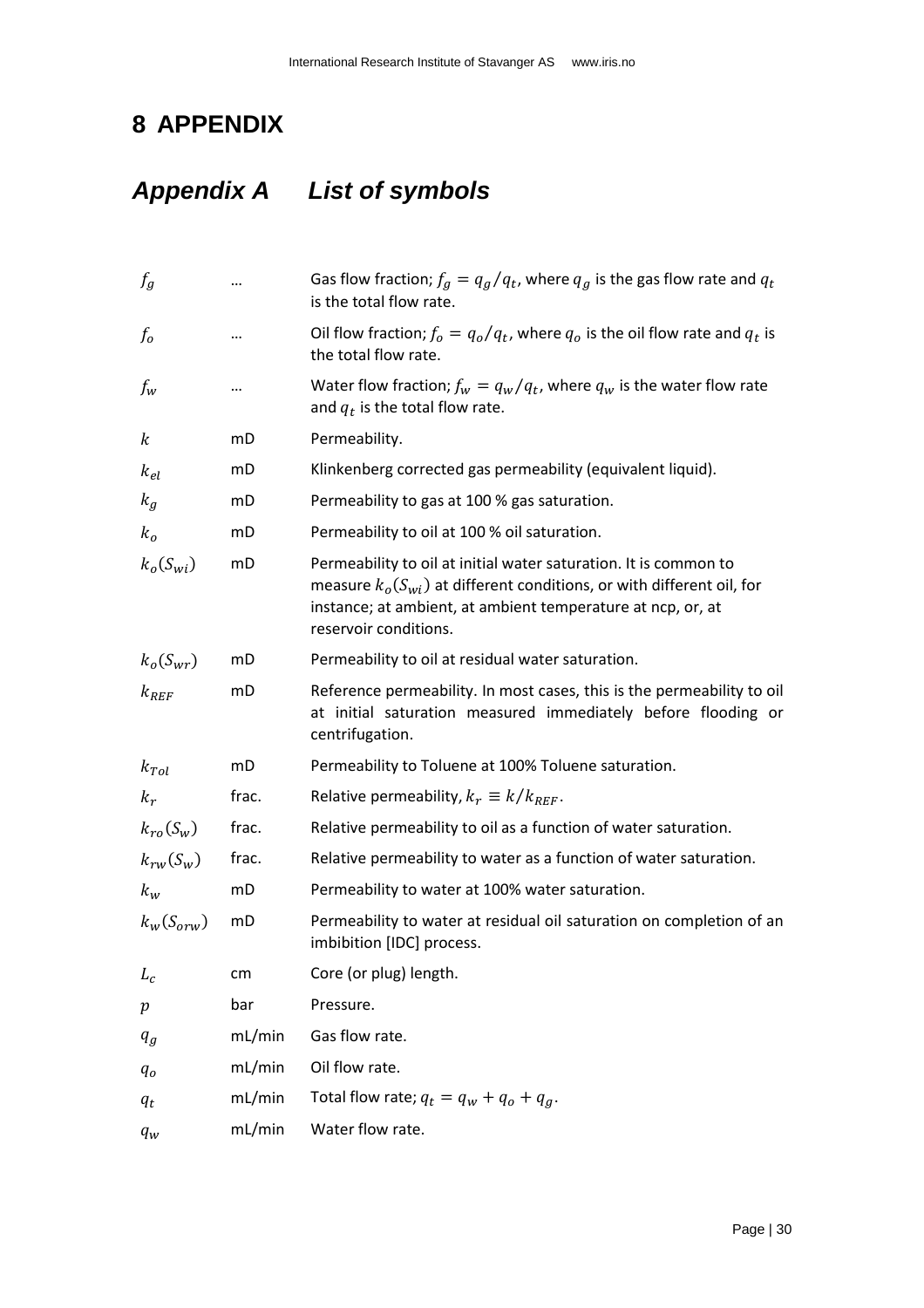# <span id="page-29-0"></span>**8 APPENDIX**

# <span id="page-29-1"></span>*Appendix A List of symbols*

| $f_{g}$        |        | Gas flow fraction; $f_g = q_g/q_t$ , where $q_g$ is the gas flow rate and $q_t$<br>is the total flow rate.                                                                                                                            |
|----------------|--------|---------------------------------------------------------------------------------------------------------------------------------------------------------------------------------------------------------------------------------------|
| $f_o$          |        | Oil flow fraction; $f_o = q_o/q_t$ , where $q_o$ is the oil flow rate and $q_t$ is<br>the total flow rate.                                                                                                                            |
| $f_w$          |        | Water flow fraction; $f_w = q_w/q_t$ , where $q_w$ is the water flow rate<br>and $q_t$ is the total flow rate.                                                                                                                        |
| k              | mD     | Permeability.                                                                                                                                                                                                                         |
| $k_{el}$       | mD     | Klinkenberg corrected gas permeability (equivalent liquid).                                                                                                                                                                           |
| $k_g$          | mD     | Permeability to gas at 100 % gas saturation.                                                                                                                                                                                          |
| $k_o$          | mD     | Permeability to oil at 100 % oil saturation.                                                                                                                                                                                          |
| $k_o(S_{wi})$  | mD     | Permeability to oil at initial water saturation. It is common to<br>measure $k_o(S_{wi})$ at different conditions, or with different oil, for<br>instance; at ambient, at ambient temperature at ncp, or, at<br>reservoir conditions. |
| $k_o(S_{wr})$  | mD     | Permeability to oil at residual water saturation.                                                                                                                                                                                     |
| $k_{REF}$      | mD     | Reference permeability. In most cases, this is the permeability to oil<br>at initial saturation measured immediately before flooding or<br>centrifugation.                                                                            |
| $k_{Tol}$      | mD     | Permeability to Toluene at 100% Toluene saturation.                                                                                                                                                                                   |
| $k_r$          | frac.  | Relative permeability, $k_r \equiv k/k_{REF}$ .                                                                                                                                                                                       |
| $k_{ro}(S_w)$  | frac.  | Relative permeability to oil as a function of water saturation.                                                                                                                                                                       |
| $k_{rw}(S_w)$  | frac.  | Relative permeability to water as a function of water saturation.                                                                                                                                                                     |
| $k_w$          | mD     | Permeability to water at 100% water saturation.                                                                                                                                                                                       |
| $k_w(S_{orw})$ | mD     | Permeability to water at residual oil saturation on completion of an<br>imbibition [IDC] process.                                                                                                                                     |
| $L_c$          | cm     | Core (or plug) length.                                                                                                                                                                                                                |
| $\,p\,$        | bar    | Pressure.                                                                                                                                                                                                                             |
| $q_g$          | mL/min | Gas flow rate.                                                                                                                                                                                                                        |
| $q_o$          | mL/min | Oil flow rate.                                                                                                                                                                                                                        |
| $q_t$          | mL/min | Total flow rate; $q_t = q_w + q_o + q_g$ .                                                                                                                                                                                            |
| $q_w$          | mL/min | Water flow rate.                                                                                                                                                                                                                      |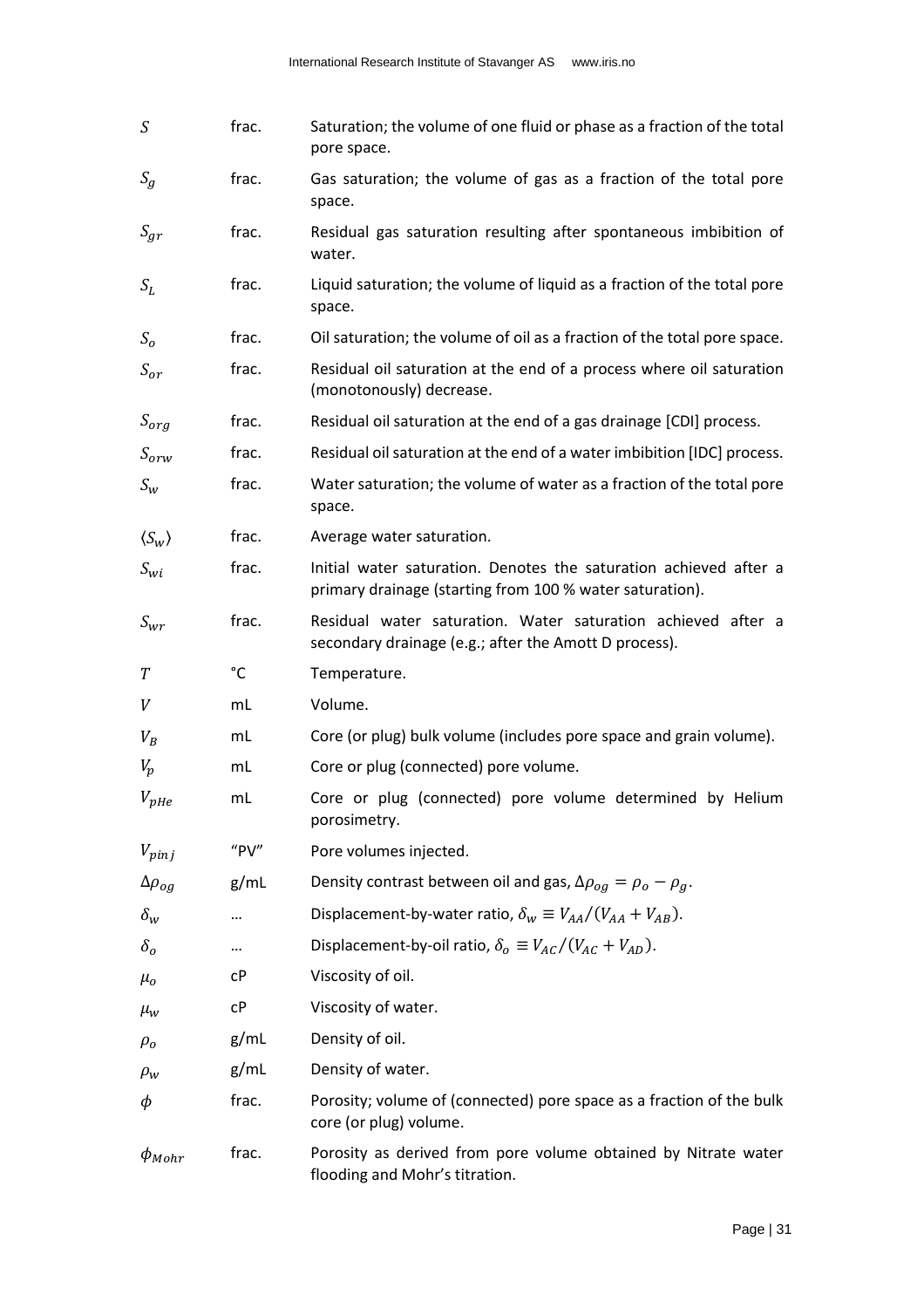| S                      | frac. | Saturation; the volume of one fluid or phase as a fraction of the total<br>pore space.                                        |
|------------------------|-------|-------------------------------------------------------------------------------------------------------------------------------|
| $S_g$                  | frac. | Gas saturation; the volume of gas as a fraction of the total pore<br>space.                                                   |
| $S_{gr}$               | frac. | Residual gas saturation resulting after spontaneous imbibition of<br>water.                                                   |
| $S_L$                  | frac. | Liquid saturation; the volume of liquid as a fraction of the total pore<br>space.                                             |
| S <sub>o</sub>         | frac. | Oil saturation; the volume of oil as a fraction of the total pore space.                                                      |
| $S_{or}$               | frac. | Residual oil saturation at the end of a process where oil saturation<br>(monotonously) decrease.                              |
| $S_{org}$              | frac. | Residual oil saturation at the end of a gas drainage [CDI] process.                                                           |
| $S_{orw}$              | frac. | Residual oil saturation at the end of a water imbibition [IDC] process.                                                       |
| $S_w$                  | frac. | Water saturation; the volume of water as a fraction of the total pore<br>space.                                               |
| $\langle S_w \rangle$  | frac. | Average water saturation.                                                                                                     |
| $S_{wi}$               | frac. | Initial water saturation. Denotes the saturation achieved after a<br>primary drainage (starting from 100 % water saturation). |
| $S_{wr}$               | frac. | Residual water saturation. Water saturation achieved after a<br>secondary drainage (e.g.; after the Amott D process).         |
| T                      | °C    | Temperature.                                                                                                                  |
| V                      | mL    | Volume.                                                                                                                       |
| $V_B$                  | mL    | Core (or plug) bulk volume (includes pore space and grain volume).                                                            |
| $V_p$                  | mL    | Core or plug (connected) pore volume.                                                                                         |
| $V_{\text{pHe}}$       | mL    | Core or plug (connected) pore volume determined by Helium<br>porosimetry.                                                     |
| $V_{pinj}$             | "PV"  | Pore volumes injected.                                                                                                        |
| $\Delta \rho_{og}$     | g/mL  | Density contrast between oil and gas, $\Delta \rho_{og} = \rho_o - \rho_g$ .                                                  |
| $\delta_w$             |       | Displacement-by-water ratio, $\delta_w \equiv V_{AA}/(V_{AA} + V_{AB})$ .                                                     |
| $\delta_o$             |       | Displacement-by-oil ratio, $\delta_{o} \equiv V_{AC}/(V_{AC} + V_{AD})$ .                                                     |
| $\mu_o$                | cР    | Viscosity of oil.                                                                                                             |
| $\mu_w$                | сP    | Viscosity of water.                                                                                                           |
| $\rho_o$               | g/mL  | Density of oil.                                                                                                               |
| $\rho_w$               | g/mL  | Density of water.                                                                                                             |
| φ                      | frac. | Porosity; volume of (connected) pore space as a fraction of the bulk<br>core (or plug) volume.                                |
| $\phi$ <sub>Mohr</sub> | frac. | Porosity as derived from pore volume obtained by Nitrate water<br>flooding and Mohr's titration.                              |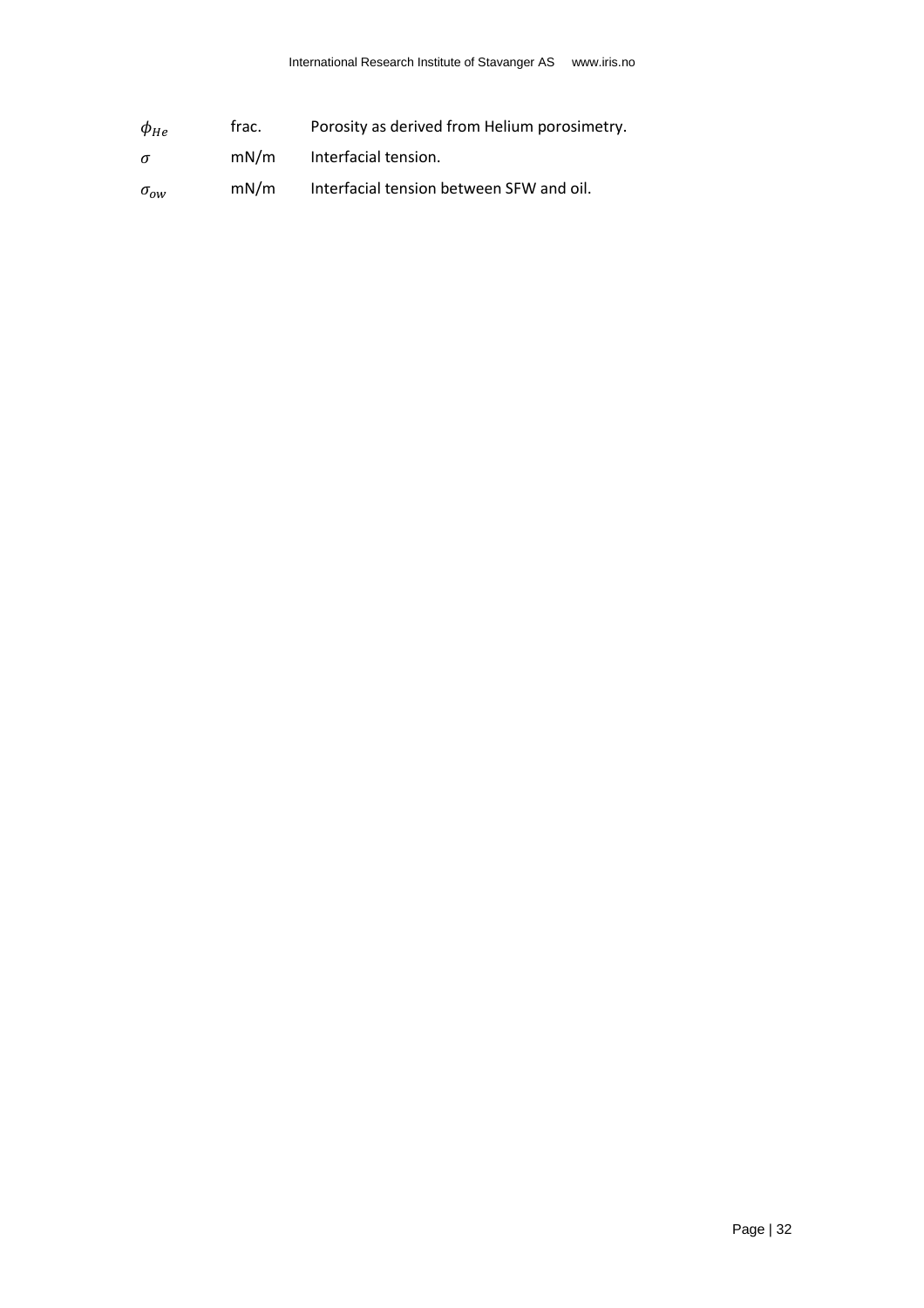| $\phi_{He}$         | trac. | Porosity as derived from Helium porosimetry. |
|---------------------|-------|----------------------------------------------|
| $\sigma$            | mN/m  | Interfacial tension.                         |
| $\sigma_{\alpha w}$ | mN/m  | Interfacial tension between SFW and oil.     |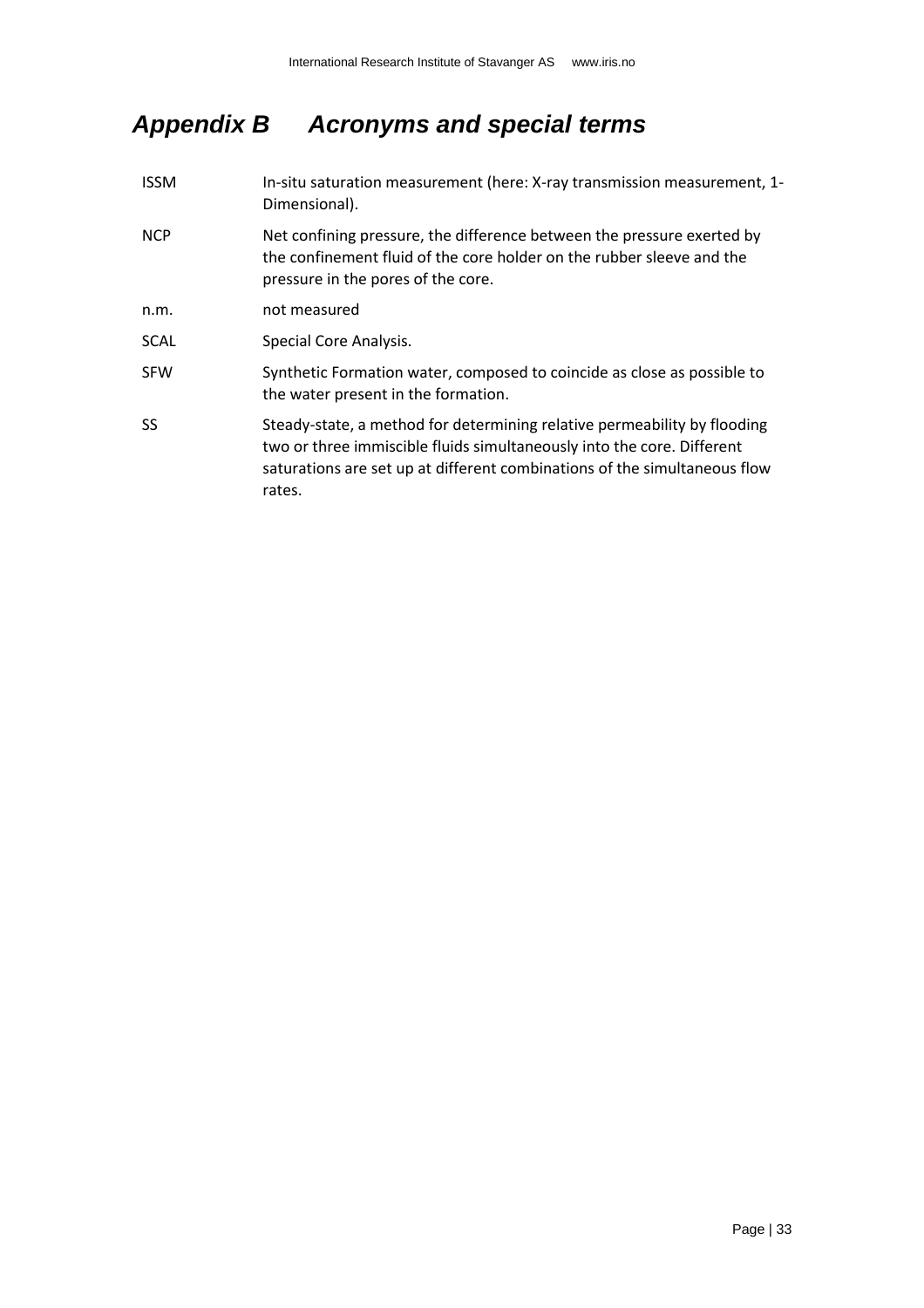# <span id="page-32-0"></span>*Appendix B Acronyms and special terms*

| <b>ISSM</b> | In-situ saturation measurement (here: X-ray transmission measurement, 1-<br>Dimensional).                                                                                                                                                 |
|-------------|-------------------------------------------------------------------------------------------------------------------------------------------------------------------------------------------------------------------------------------------|
| <b>NCP</b>  | Net confining pressure, the difference between the pressure exerted by<br>the confinement fluid of the core holder on the rubber sleeve and the<br>pressure in the pores of the core.                                                     |
| n.m.        | not measured                                                                                                                                                                                                                              |
| <b>SCAL</b> | Special Core Analysis.                                                                                                                                                                                                                    |
| <b>SFW</b>  | Synthetic Formation water, composed to coincide as close as possible to<br>the water present in the formation.                                                                                                                            |
| SS.         | Steady-state, a method for determining relative permeability by flooding<br>two or three immiscible fluids simultaneously into the core. Different<br>saturations are set up at different combinations of the simultaneous flow<br>rates. |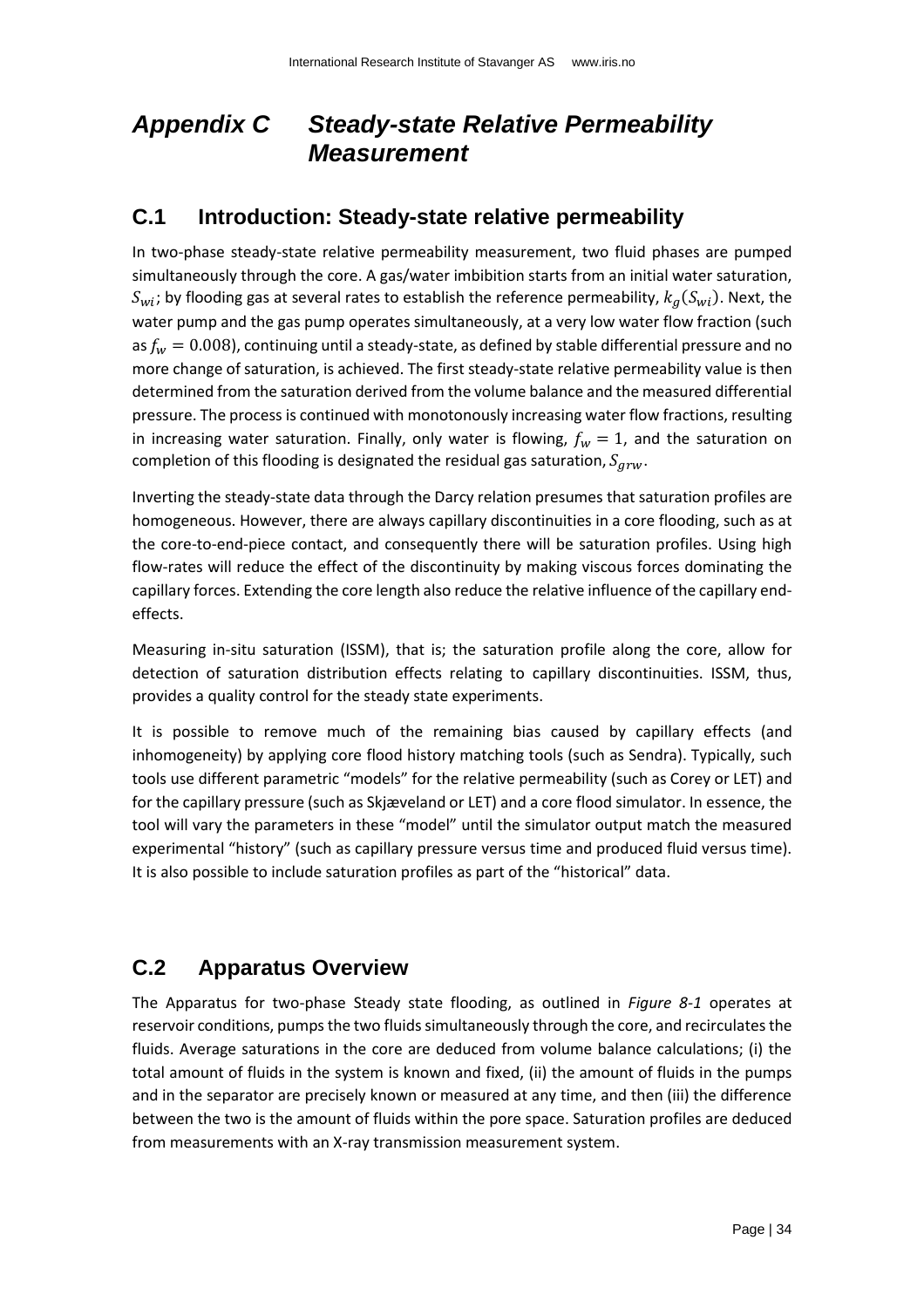# <span id="page-33-0"></span>*Appendix C Steady-state Relative Permeability Measurement*

### <span id="page-33-1"></span>**C.1 Introduction: Steady-state relative permeability**

In two-phase steady-state relative permeability measurement, two fluid phases are pumped simultaneously through the core. A gas/water imbibition starts from an initial water saturation,  $S_{wi}$ ; by flooding gas at several rates to establish the reference permeability,  $k_a(S_{wi})$ . Next, the water pump and the gas pump operates simultaneously, at a very low water flow fraction (such as  $f_w = 0.008$ ), continuing until a steady-state, as defined by stable differential pressure and no more change of saturation, is achieved. The first steady-state relative permeability value is then determined from the saturation derived from the volume balance and the measured differential pressure. The process is continued with monotonously increasing water flow fractions, resulting in increasing water saturation. Finally, only water is flowing,  $f_w = 1$ , and the saturation on completion of this flooding is designated the residual gas saturation,  $S_{grw}$ .

Inverting the steady-state data through the Darcy relation presumes that saturation profiles are homogeneous. However, there are always capillary discontinuities in a core flooding, such as at the core-to-end-piece contact, and consequently there will be saturation profiles. Using high flow-rates will reduce the effect of the discontinuity by making viscous forces dominating the capillary forces. Extending the core length also reduce the relative influence of the capillary endeffects.

Measuring in-situ saturation (ISSM), that is; the saturation profile along the core, allow for detection of saturation distribution effects relating to capillary discontinuities. ISSM, thus, provides a quality control for the steady state experiments.

It is possible to remove much of the remaining bias caused by capillary effects (and inhomogeneity) by applying core flood history matching tools (such as Sendra). Typically, such tools use different parametric "models" for the relative permeability (such as Corey or LET) and for the capillary pressure (such as Skjæveland or LET) and a core flood simulator. In essence, the tool will vary the parameters in these "model" until the simulator output match the measured experimental "history" (such as capillary pressure versus time and produced fluid versus time). It is also possible to include saturation profiles as part of the "historical" data.

## <span id="page-33-2"></span>**C.2 Apparatus Overview**

The Apparatus for two-phase Steady state flooding, as outlined in *[Figure 8-1](#page-34-2)* operates at reservoir conditions, pumps the two fluids simultaneously through the core, and recirculates the fluids. Average saturations in the core are deduced from volume balance calculations; (i) the total amount of fluids in the system is known and fixed, (ii) the amount of fluids in the pumps and in the separator are precisely known or measured at any time, and then (iii) the difference between the two is the amount of fluids within the pore space. Saturation profiles are deduced from measurements with an X-ray transmission measurement system.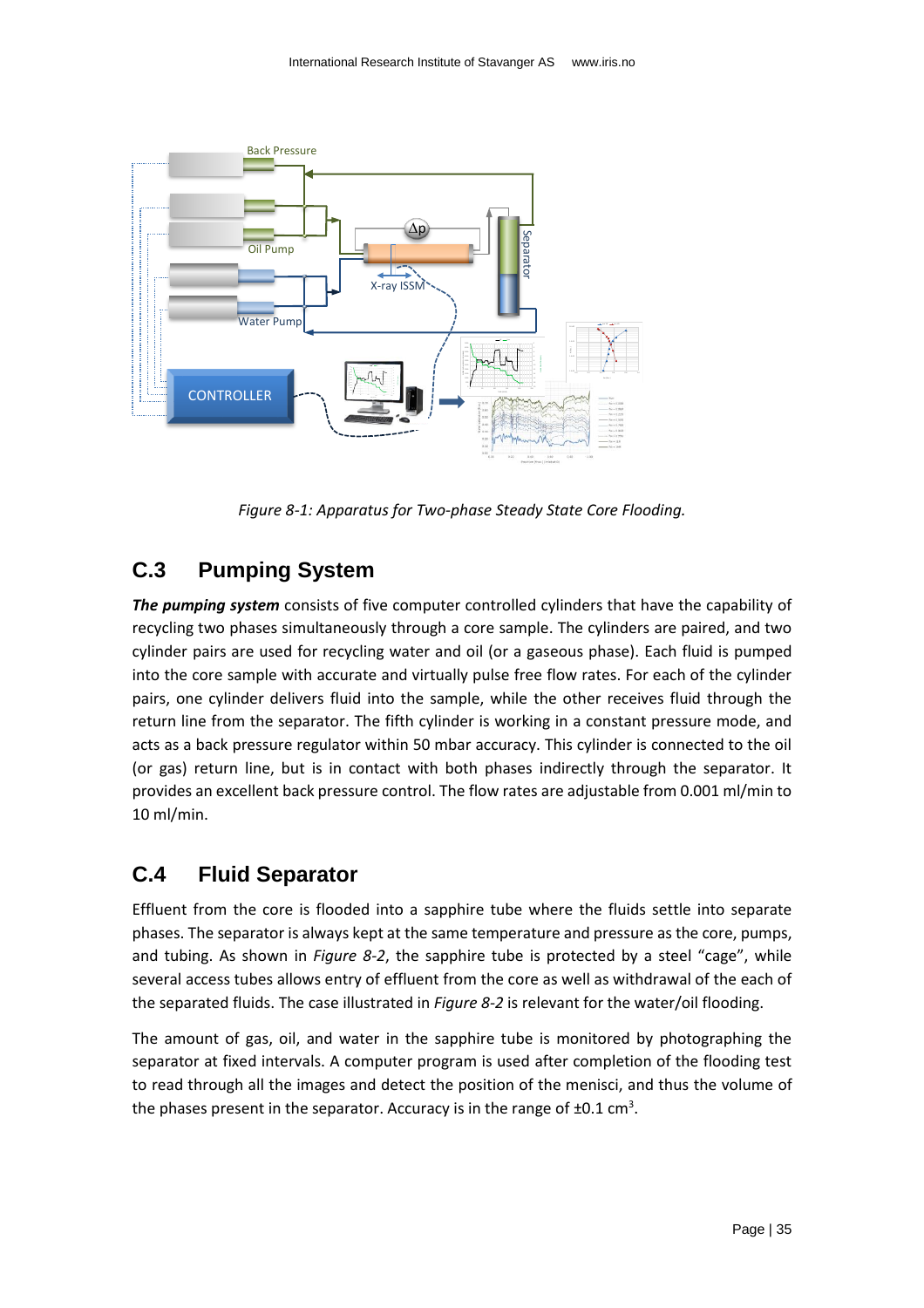

*Figure 8-1: Apparatus for Two-phase Steady State Core Flooding.*

## <span id="page-34-2"></span><span id="page-34-0"></span>**C.3 Pumping System**

*The pumping system* consists of five computer controlled cylinders that have the capability of recycling two phases simultaneously through a core sample. The cylinders are paired, and two cylinder pairs are used for recycling water and oil (or a gaseous phase). Each fluid is pumped into the core sample with accurate and virtually pulse free flow rates. For each of the cylinder pairs, one cylinder delivers fluid into the sample, while the other receives fluid through the return line from the separator. The fifth cylinder is working in a constant pressure mode, and acts as a back pressure regulator within 50 mbar accuracy. This cylinder is connected to the oil (or gas) return line, but is in contact with both phases indirectly through the separator. It provides an excellent back pressure control. The flow rates are adjustable from 0.001 ml/min to 10 ml/min.

### <span id="page-34-1"></span>**C.4 Fluid Separator**

Effluent from the core is flooded into a sapphire tube where the fluids settle into separate phases. The separator is always kept at the same temperature and pressure as the core, pumps, and tubing. As shown in *[Figure 8-2](#page-35-1)*, the sapphire tube is protected by a steel "cage", while several access tubes allows entry of effluent from the core as well as withdrawal of the each of the separated fluids. The case illustrated in *[Figure 8-2](#page-35-1)* is relevant for the water/oil flooding.

The amount of gas, oil, and water in the sapphire tube is monitored by photographing the separator at fixed intervals. A computer program is used after completion of the flooding test to read through all the images and detect the position of the menisci, and thus the volume of the phases present in the separator. Accuracy is in the range of  $\pm 0.1$  cm<sup>3</sup>.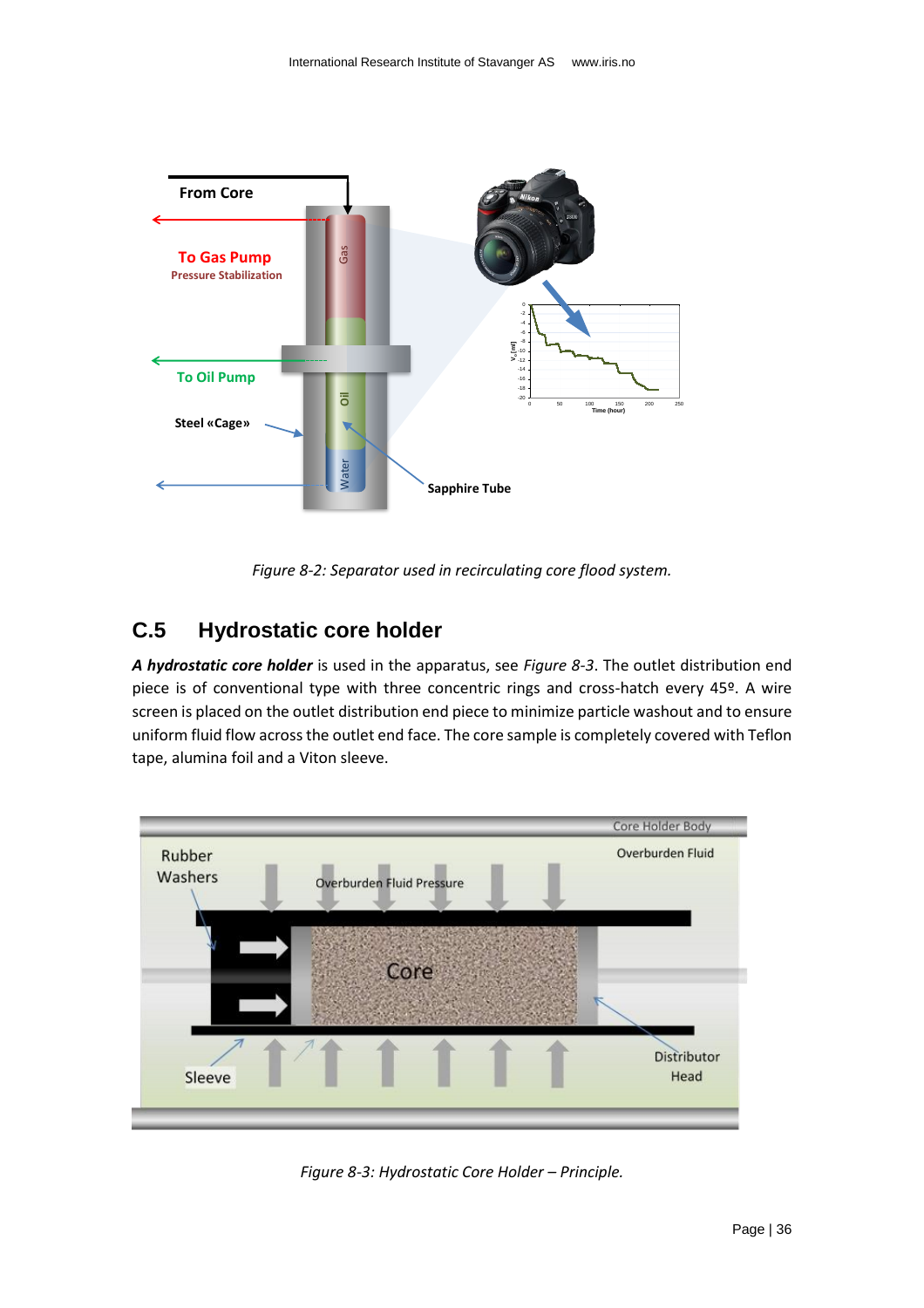

*Figure 8-2: Separator used in recirculating core flood system.*

## <span id="page-35-1"></span><span id="page-35-0"></span>**C.5 Hydrostatic core holder**

*A hydrostatic core holder* is used in the apparatus, see *[Figure 8-3](#page-35-2)*. The outlet distribution end piece is of conventional type with three concentric rings and cross-hatch every 45º. A wire screen is placed on the outlet distribution end piece to minimize particle washout and to ensure uniform fluid flow across the outlet end face. The core sample is completely covered with Teflon tape, alumina foil and a Viton sleeve.



<span id="page-35-2"></span>*Figure 8-3: Hydrostatic Core Holder – Principle.*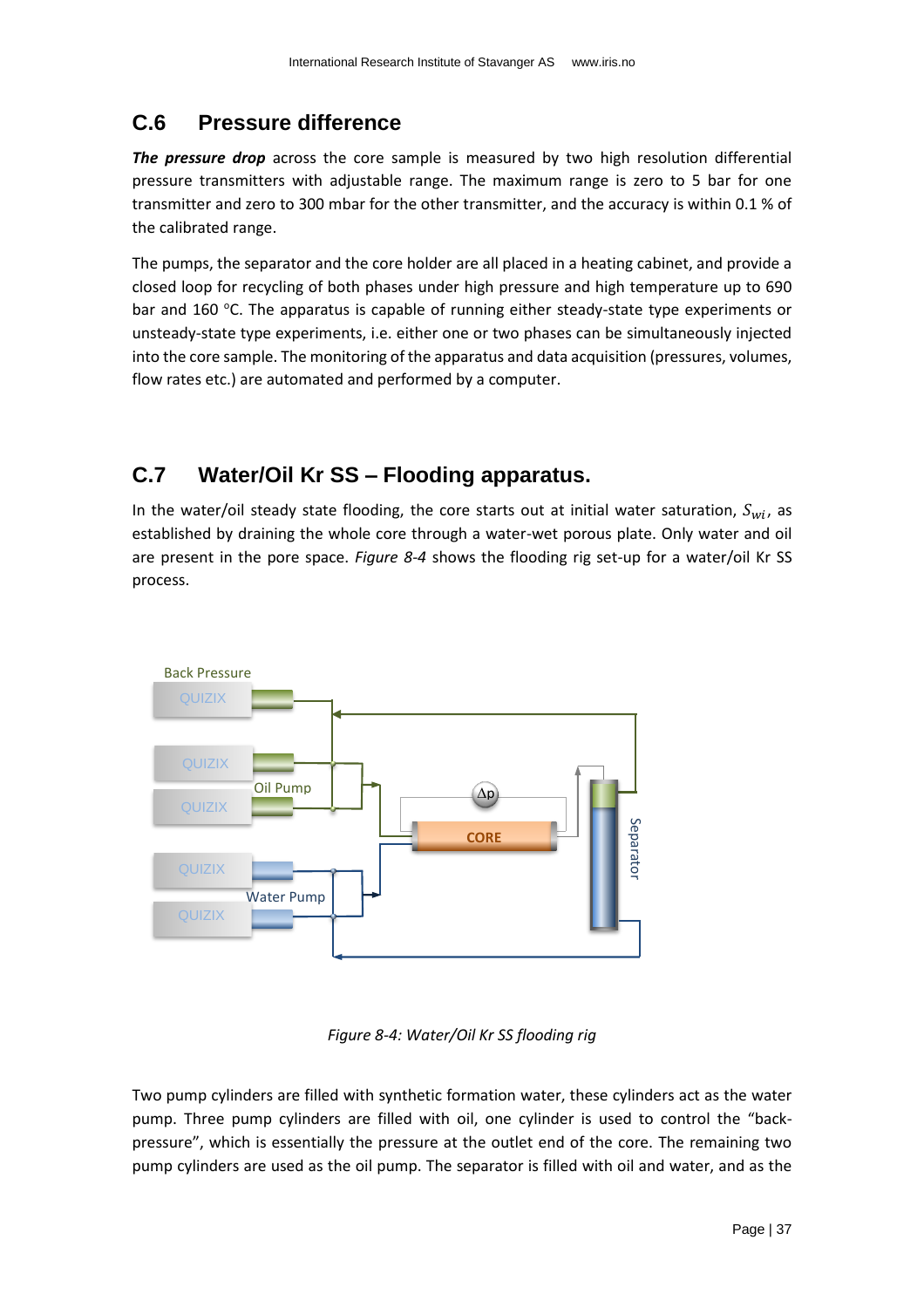## <span id="page-36-0"></span>**C.6 Pressure difference**

*The pressure drop* across the core sample is measured by two high resolution differential pressure transmitters with adjustable range. The maximum range is zero to 5 bar for one transmitter and zero to 300 mbar for the other transmitter, and the accuracy is within 0.1 % of the calibrated range.

The pumps, the separator and the core holder are all placed in a heating cabinet, and provide a closed loop for recycling of both phases under high pressure and high temperature up to 690 bar and 160  $\degree$ C. The apparatus is capable of running either steady-state type experiments or unsteady-state type experiments, i.e. either one or two phases can be simultaneously injected into the core sample. The monitoring of the apparatus and data acquisition (pressures, volumes, flow rates etc.) are automated and performed by a computer.

## <span id="page-36-1"></span>**C.7 Water/Oil Kr SS – Flooding apparatus.**

In the water/oil steady state flooding, the core starts out at initial water saturation,  $S_{wi}$ , as established by draining the whole core through a water-wet porous plate. Only water and oil are present in the pore space. *[Figure 8-4](#page-36-2)* shows the flooding rig set-up for a water/oil Kr SS process.



*Figure 8-4: Water/Oil Kr SS flooding rig*

<span id="page-36-2"></span>Two pump cylinders are filled with synthetic formation water, these cylinders act as the water pump. Three pump cylinders are filled with oil, one cylinder is used to control the "backpressure", which is essentially the pressure at the outlet end of the core. The remaining two pump cylinders are used as the oil pump. The separator is filled with oil and water, and as the